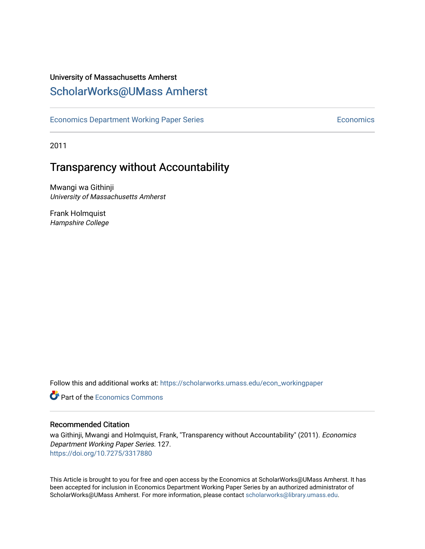### University of Massachusetts Amherst

### [ScholarWorks@UMass Amherst](https://scholarworks.umass.edu/)

[Economics Department Working Paper Series](https://scholarworks.umass.edu/econ_workingpaper) **Economics** Economics

2011

### Transparency without Accountability

Mwangi wa Githinji University of Massachusetts Amherst

Frank Holmquist Hampshire College

Follow this and additional works at: [https://scholarworks.umass.edu/econ\\_workingpaper](https://scholarworks.umass.edu/econ_workingpaper?utm_source=scholarworks.umass.edu%2Fecon_workingpaper%2F127&utm_medium=PDF&utm_campaign=PDFCoverPages) 

**C** Part of the [Economics Commons](http://network.bepress.com/hgg/discipline/340?utm_source=scholarworks.umass.edu%2Fecon_workingpaper%2F127&utm_medium=PDF&utm_campaign=PDFCoverPages)

#### Recommended Citation

wa Githinji, Mwangi and Holmquist, Frank, "Transparency without Accountability" (2011). Economics Department Working Paper Series. 127. <https://doi.org/10.7275/3317880>

This Article is brought to you for free and open access by the Economics at ScholarWorks@UMass Amherst. It has been accepted for inclusion in Economics Department Working Paper Series by an authorized administrator of ScholarWorks@UMass Amherst. For more information, please contact [scholarworks@library.umass.edu.](mailto:scholarworks@library.umass.edu)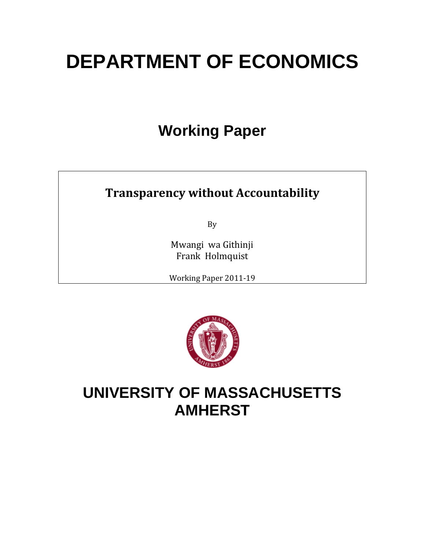# **DEPARTMENT OF ECONOMICS**

# **Working Paper**

## **Transparency without Accountability**

By

Mwangi wa Githinji Frank Holmquist

Working Paper 2011‐19



# **UNIVERSITY OF MASSACHUSETTS AMHERST**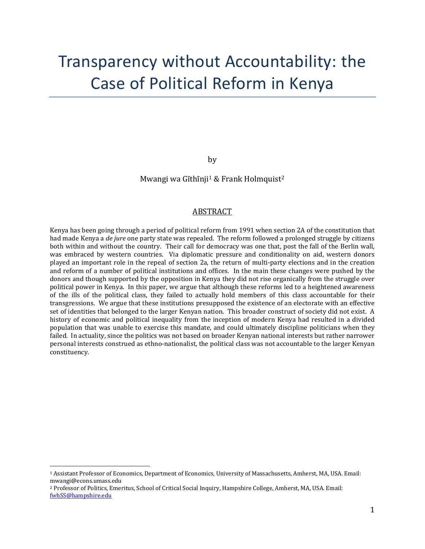# Transparency without Accountability: the Case of Political Reform in Kenya

by

Mwangi wa Gĩthĩnji<sup>1</sup> & Frank Holmquist<sup>2</sup>

#### ABSTRACT

Kenya has been going through a period of political reform from 1991 when section 2A of the constitution that had made Kenya a *de jure* one party state was repealed. The reform followed a prolonged struggle by citizens both within and without the country. Their call for democracy was one that, post the fall of the Berlin wall, was embraced by western countries. Via diplomatic pressure and conditionality on aid, western donors played an important role in the repeal of section 2a, the return of multi‐party elections and in the creation and reform of a number of political institutions and offices. In the main these changes were pushed by the donors and though supported by the opposition in Kenya they did not rise organically from the struggle over political power in Kenya. In this paper, we argue that although these reforms led to a heightened awareness of the ills of the political class, they failed to actually hold members of this class accountable for their transgressions. We argue that these institutions presupposed the existence of an electorate with an effective set of identities that belonged to the larger Kenyan nation. This broader construct of society did not exist. A history of economic and political inequality from the inception of modern Kenya had resulted in a divided population that was unable to exercise this mandate, and could ultimately discipline politicians when they failed. In actuality, since the politics was not based on broader Kenyan national interests but rather narrower personal interests construed as ethno‐nationalist, the political class was not accountable to the larger Kenyan constituency.

<sup>1</sup> Assistant Professor of Economics, Department of Economics, University of Massachusetts, Amherst, MA, USA. Email: mwangi@econs.umass.edu

<sup>2</sup> Professor of Politics, Emeritus, School of Critical Social Inquiry, Hampshire College, Amherst, MA, USA. Email: fwhSS@hampshire.edu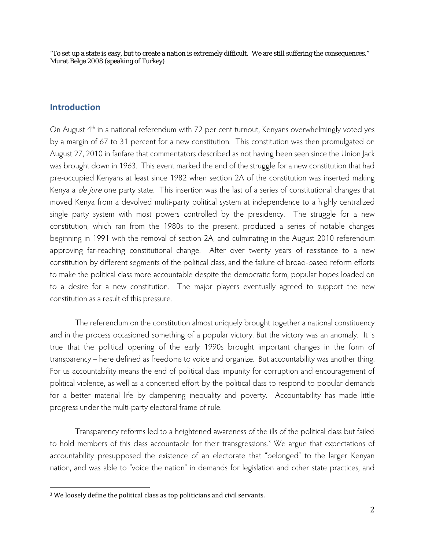"To set up a state is easy, but to create a nation is extremely difficult. We are still suffering the consequences." Murat Belge 2008 (speaking of Turkey)

#### **Introduction**

On August 4<sup>th</sup> in a national referendum with 72 per cent turnout, Kenyans overwhelmingly voted yes by a margin of 67 to 31 percent for a new constitution. This constitution was then promulgated on August 27, 2010 in fanfare that commentators described as not having been seen since the Union Jack was brought down in 1963. This event marked the end of the struggle for a new constitution that had pre-occupied Kenyans at least since 1982 when section 2A of the constitution was inserted making Kenya a *de jure* one party state. This insertion was the last of a series of constitutional changes that moved Kenya from a devolved multi-party political system at independence to a highly centralized single party system with most powers controlled by the presidency. The struggle for a new constitution, which ran from the 1980s to the present, produced a series of notable changes beginning in 1991 with the removal of section 2A, and culminating in the August 2010 referendum approving far-reaching constitutional change. After over twenty years of resistance to a new constitution by different segments of the political class, and the failure of broad-based reform efforts to make the political class more accountable despite the democratic form, popular hopes loaded on to a desire for a new constitution. The major players eventually agreed to support the new constitution as a result of this pressure.

The referendum on the constitution almost uniquely brought together a national constituency and in the process occasioned something of a popular victory. But the victory was an anomaly. It is true that the political opening of the early 1990s brought important changes in the form of transparency – here defined as freedoms to voice and organize. But accountability was another thing. For us accountability means the end of political class impunity for corruption and encouragement of political violence, as well as a concerted effort by the political class to respond to popular demands for a better material life by dampening inequality and poverty. Accountability has made little progress under the multi-party electoral frame of rule.

Transparency reforms led to a heightened awareness of the ills of the political class but failed to hold members of this class accountable for their transgressions.<sup>3</sup> We argue that expectations of accountability presupposed the existence of an electorate that "belonged" to the larger Kenyan nation, and was able to "voice the nation" in demands for legislation and other state practices, and

<sup>&</sup>lt;sup>3</sup> We loosely define the political class as top politicians and civil servants.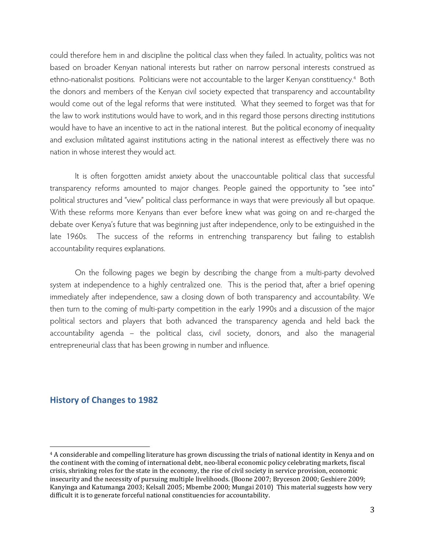could therefore hem in and discipline the political class when they failed. In actuality, politics was not based on broader Kenyan national interests but rather on narrow personal interests construed as ethno-nationalist positions. Politicians were not accountable to the larger Kenyan constituency.<sup>4</sup> Both the donors and members of the Kenyan civil society expected that transparency and accountability would come out of the legal reforms that were instituted. What they seemed to forget was that for the law to work institutions would have to work, and in this regard those persons directing institutions would have to have an incentive to act in the national interest. But the political economy of inequality and exclusion militated against institutions acting in the national interest as effectively there was no nation in whose interest they would act.

It is often forgotten amidst anxiety about the unaccountable political class that successful transparency reforms amounted to major changes. People gained the opportunity to "see into" political structures and "view" political class performance in ways that were previously all but opaque. With these reforms more Kenyans than ever before knew what was going on and re-charged the debate over Kenya's future that was beginning just after independence, only to be extinguished in the late 1960s. The success of the reforms in entrenching transparency but failing to establish accountability requires explanations.

On the following pages we begin by describing the change from a multi-party devolved system at independence to a highly centralized one. This is the period that, after a brief opening immediately after independence, saw a closing down of both transparency and accountability. We then turn to the coming of multi-party competition in the early 1990s and a discussion of the major political sectors and players that both advanced the transparency agenda and held back the accountability agenda – the political class, civil society, donors, and also the managerial entrepreneurial class that has been growing in number and influence.

#### **History of Changes to 1982**

<sup>4</sup> A considerable and compelling literature has grown discussing the trials of national identity in Kenya and on the continent with the coming of international debt, neo-liberal economic policy celebrating markets, fiscal crisis, shrinking roles for the state in the economy, the rise of civil society in service provision, economic insecurity and the necessity of pursuing multiple livelihoods. (Boone 2007; Bryceson 2000; Geshiere 2009; Kanyinga and Katumanga 2003; Kelsall 2005; Mbembe 2000; Mungai 2010) This material suggests how very difficult it is to generate forceful national constituencies for accountability.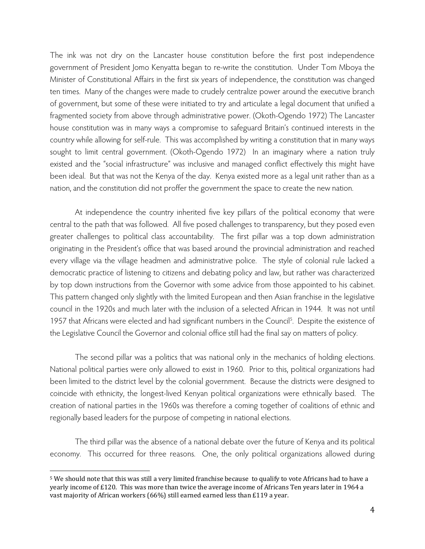The ink was not dry on the Lancaster house constitution before the first post independence government of President Jomo Kenyatta began to re-write the constitution. Under Tom Mboya the Minister of Constitutional Affairs in the first six years of independence, the constitution was changed ten times. Many of the changes were made to crudely centralize power around the executive branch of government, but some of these were initiated to try and articulate a legal document that unified a fragmented society from above through administrative power. (Okoth-Ogendo 1972) The Lancaster house constitution was in many ways a compromise to safeguard Britain's continued interests in the country while allowing for self-rule. This was accomplished by writing a constitution that in many ways sought to limit central government. (Okoth-Ogendo 1972) In an imaginary where a nation truly existed and the "social infrastructure" was inclusive and managed conflict effectively this might have been ideal. But that was not the Kenya of the day. Kenya existed more as a legal unit rather than as a nation, and the constitution did not proffer the government the space to create the new nation.

At independence the country inherited five key pillars of the political economy that were central to the path that was followed. All five posed challenges to transparency, but they posed even greater challenges to political class accountability. The first pillar was a top down administration originating in the President's office that was based around the provincial administration and reached every village via the village headmen and administrative police. The style of colonial rule lacked a democratic practice of listening to citizens and debating policy and law, but rather was characterized by top down instructions from the Governor with some advice from those appointed to his cabinet. This pattern changed only slightly with the limited European and then Asian franchise in the legislative council in the 1920s and much later with the inclusion of a selected African in 1944. It was not until 1957 that Africans were elected and had significant numbers in the Council<sup>5</sup>. Despite the existence of the Legislative Council the Governor and colonial office still had the final say on matters of policy.

The second pillar was a politics that was national only in the mechanics of holding elections. National political parties were only allowed to exist in 1960. Prior to this, political organizations had been limited to the district level by the colonial government. Because the districts were designed to coincide with ethnicity, the longest-lived Kenyan political organizations were ethnically based. The creation of national parties in the 1960s was therefore a coming together of coalitions of ethnic and regionally based leaders for the purpose of competing in national elections.

The third pillar was the absence of a national debate over the future of Kenya and its political economy. This occurred for three reasons. One, the only political organizations allowed during

<sup>5</sup> We should note that this was still a very limited franchise because to qualify to vote Africans had to have a yearly income of £120. This was more than twice the average income of Africans Ten years later in 1964 a vast majority of African workers (66%) still earned earned less than £119 a year.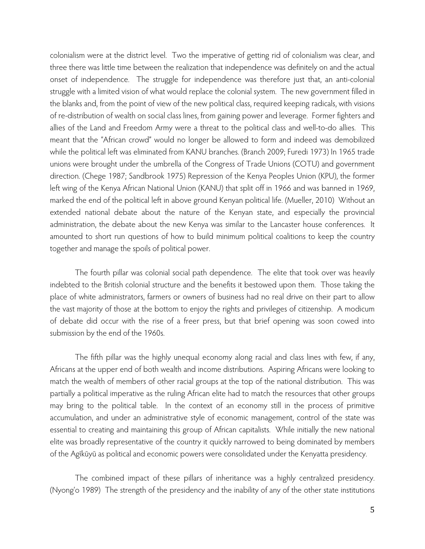colonialism were at the district level. Two the imperative of getting rid of colonialism was clear, and three there was little time between the realization that independence was definitely on and the actual onset of independence. The struggle for independence was therefore just that, an anti-colonial struggle with a limited vision of what would replace the colonial system. The new government filled in the blanks and, from the point of view of the new political class, required keeping radicals, with visions of re-distribution of wealth on social class lines, from gaining power and leverage. Former fighters and allies of the Land and Freedom Army were a threat to the political class and well-to-do allies. This meant that the "African crowd" would no longer be allowed to form and indeed was demobilized while the political left was eliminated from KANU branches. (Branch 2009; Furedi 1973) In 1965 trade unions were brought under the umbrella of the Congress of Trade Unions (COTU) and government direction. (Chege 1987; Sandbrook 1975) Repression of the Kenya Peoples Union (KPU), the former left wing of the Kenya African National Union (KANU) that split off in 1966 and was banned in 1969, marked the end of the political left in above ground Kenyan political life. (Mueller, 2010) Without an extended national debate about the nature of the Kenyan state, and especially the provincial administration, the debate about the new Kenya was similar to the Lancaster house conferences. It amounted to short run questions of how to build minimum political coalitions to keep the country together and manage the spoils of political power.

The fourth pillar was colonial social path dependence. The elite that took over was heavily indebted to the British colonial structure and the benefits it bestowed upon them. Those taking the place of white administrators, farmers or owners of business had no real drive on their part to allow the vast majority of those at the bottom to enjoy the rights and privileges of citizenship. A modicum of debate did occur with the rise of a freer press, but that brief opening was soon cowed into submission by the end of the 1960s.

The fifth pillar was the highly unequal economy along racial and class lines with few, if any, Africans at the upper end of both wealth and income distributions. Aspiring Africans were looking to match the wealth of members of other racial groups at the top of the national distribution. This was partially a political imperative as the ruling African elite had to match the resources that other groups may bring to the political table. In the context of an economy still in the process of primitive accumulation, and under an administrative style of economic management, control of the state was essential to creating and maintaining this group of African capitalists. While initially the new national elite was broadly representative of the country it quickly narrowed to being dominated by members of the Agĩkũyũ as political and economic powers were consolidated under the Kenyatta presidency.

The combined impact of these pillars of inheritance was a highly centralized presidency. (Nyong'o 1989) The strength of the presidency and the inability of any of the other state institutions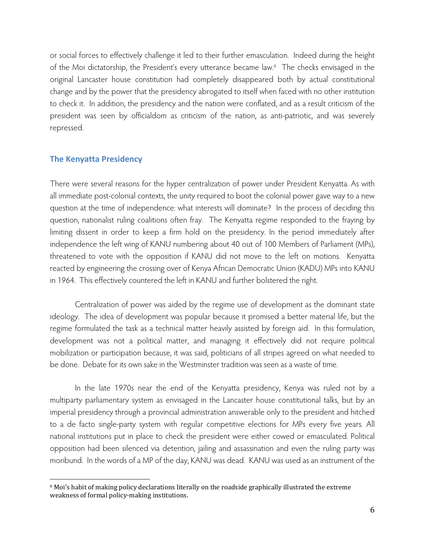or social forces to effectively challenge it led to their further emasculation. Indeed during the height of the Moi dictatorship, the President's every utterance became law.6 The checks envisaged in the original Lancaster house constitution had completely disappeared both by actual constitutional change and by the power that the presidency abrogated to itself when faced with no other institution to check it. In addition, the presidency and the nation were conflated, and as a result criticism of the president was seen by officialdom as criticism of the nation, as anti-patriotic, and was severely repressed.

#### **The Kenyatta Presidency**

There were several reasons for the hyper centralization of power under President Kenyatta. As with all immediate post-colonial contexts, the unity required to boot the colonial power gave way to a new question at the time of independence: what interests will dominate? In the process of deciding this question, nationalist ruling coalitions often fray. The Kenyatta regime responded to the fraying by limiting dissent in order to keep a firm hold on the presidency. In the period immediately after independence the left wing of KANU numbering about 40 out of 100 Members of Parliament (MPs), threatened to vote with the opposition if KANU did not move to the left on motions. Kenyatta reacted by engineering the crossing over of Kenya African Democratic Union (KADU) MPs into KANU in 1964. This effectively countered the left in KANU and further bolstered the right.

Centralization of power was aided by the regime use of development as the dominant state ideology. The idea of development was popular because it promised a better material life, but the regime formulated the task as a technical matter heavily assisted by foreign aid. In this formulation, development was not a political matter, and managing it effectively did not require political mobilization or participation because, it was said, politicians of all stripes agreed on what needed to be done. Debate for its own sake in the Westminster tradition was seen as a waste of time.

In the late 1970s near the end of the Kenyatta presidency, Kenya was ruled not by a multiparty parliamentary system as envisaged in the Lancaster house constitutional talks, but by an imperial presidency through a provincial administration answerable only to the president and hitched to a de facto single-party system with regular competitive elections for MPs every five years. All national institutions put in place to check the president were either cowed or emasculated. Political opposition had been silenced via detention, jailing and assassination and even the ruling party was moribund. In the words of a MP of the day, KANU was dead. KANU was used as an instrument of the

<sup>6</sup> Moi's habit of making policy declarations literally on the roadside graphically illustrated the extreme weakness of formal policy-making institutions.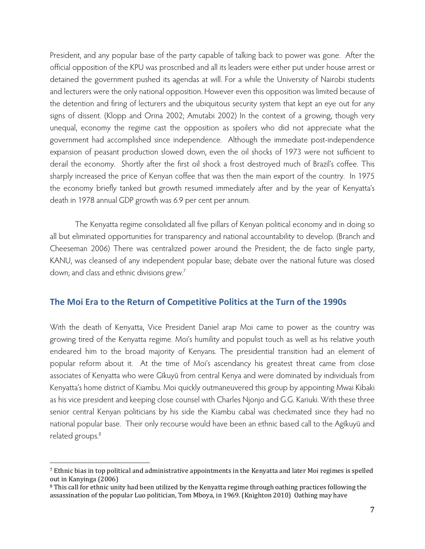President, and any popular base of the party capable of talking back to power was gone. After the official opposition of the KPU was proscribed and all its leaders were either put under house arrest or detained the government pushed its agendas at will. For a while the University of Nairobi students and lecturers were the only national opposition. However even this opposition was limited because of the detention and firing of lecturers and the ubiquitous security system that kept an eye out for any signs of dissent. (Klopp and Orina 2002; Amutabi 2002) In the context of a growing, though very unequal, economy the regime cast the opposition as spoilers who did not appreciate what the government had accomplished since independence. Although the immediate post-independence expansion of peasant production slowed down, even the oil shocks of 1973 were not sufficient to derail the economy. Shortly after the first oil shock a frost destroyed much of Brazil's coffee. This sharply increased the price of Kenyan coffee that was then the main export of the country. In 1975 the economy briefly tanked but growth resumed immediately after and by the year of Kenyatta's death in 1978 annual GDP growth was 6.9 per cent per annum.

The Kenyatta regime consolidated all five pillars of Kenyan political economy and in doing so all but eliminated opportunities for transparency and national accountability to develop. (Branch and Cheeseman 2006) There was centralized power around the President; the de facto single party, KANU, was cleansed of any independent popular base; debate over the national future was closed down; and class and ethnic divisions grew.<sup>7</sup>

#### **The Moi Era to the Return of Competitive Politics at the Turn of the 1990s**

With the death of Kenyatta, Vice President Daniel arap Moi came to power as the country was growing tired of the Kenyatta regime. Moi's humility and populist touch as well as his relative youth endeared him to the broad majority of Kenyans. The presidential transition had an element of popular reform about it. At the time of Moi's ascendancy his greatest threat came from close associates of Kenyatta who were Gĩkuyũ from central Kenya and were dominated by individuals from Kenyatta's home district of Kiambu. Moi quickly outmaneuvered this group by appointing Mwai Kibaki as his vice president and keeping close counsel with Charles Njonjo and G.G. Kariuki. With these three senior central Kenyan politicians by his side the Kiambu cabal was checkmated since they had no national popular base. Their only recourse would have been an ethnic based call to the Agĩkuyũ and related groups.<sup>8</sup>

<sup>7</sup> Ethnic bias in top political and administrative appointments in the Kenyatta and later Moi regimes is spelled out in Kanyinga (2006)

<sup>&</sup>lt;sup>8</sup> This call for ethnic unity had been utilized by the Kenyatta regime through oathing practices following the assassination of the popular Luo politician, Tom Mboya, in 1969. (Knighton 2010) Oathing may have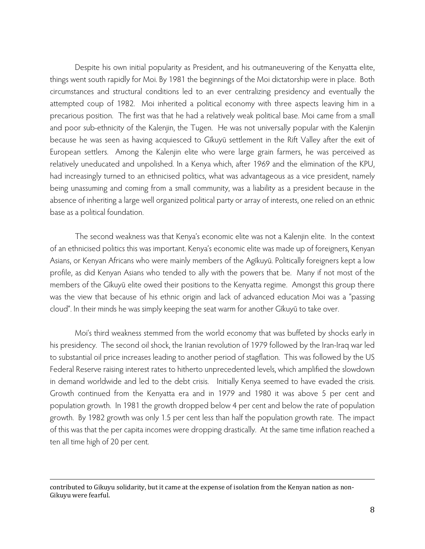Despite his own initial popularity as President, and his outmaneuvering of the Kenyatta elite, things went south rapidly for Moi. By 1981 the beginnings of the Moi dictatorship were in place. Both circumstances and structural conditions led to an ever centralizing presidency and eventually the attempted coup of 1982. Moi inherited a political economy with three aspects leaving him in a precarious position. The first was that he had a relatively weak political base. Moi came from a small and poor sub-ethnicity of the Kalenjin, the Tugen. He was not universally popular with the Kalenjin because he was seen as having acquiesced to Gĩkuyũ settlement in the Rift Valley after the exit of European settlers. Among the Kalenjin elite who were large grain farmers, he was perceived as relatively uneducated and unpolished. In a Kenya which, after 1969 and the elimination of the KPU, had increasingly turned to an ethnicised politics, what was advantageous as a vice president, namely being unassuming and coming from a small community, was a liability as a president because in the absence of inheriting a large well organized political party or array of interests, one relied on an ethnic base as a political foundation.

The second weakness was that Kenya's economic elite was not a Kalenjin elite. In the context of an ethnicised politics this was important. Kenya's economic elite was made up of foreigners, Kenyan Asians, or Kenyan Africans who were mainly members of the Agĩkuyũ. Politically foreigners kept a low profile, as did Kenyan Asians who tended to ally with the powers that be. Many if not most of the members of the Gĩkuyũ elite owed their positions to the Kenyatta regime. Amongst this group there was the view that because of his ethnic origin and lack of advanced education Moi was a "passing cloud". In their minds he was simply keeping the seat warm for another Gĩkuyũ to take over.

Moi's third weakness stemmed from the world economy that was buffeted by shocks early in his presidency. The second oil shock, the Iranian revolution of 1979 followed by the Iran-Iraq war led to substantial oil price increases leading to another period of stagflation. This was followed by the US Federal Reserve raising interest rates to hitherto unprecedented levels, which amplified the slowdown in demand worldwide and led to the debt crisis. Initially Kenya seemed to have evaded the crisis. Growth continued from the Kenyatta era and in 1979 and 1980 it was above 5 per cent and population growth. In 1981 the growth dropped below 4 per cent and below the rate of population growth. By 1982 growth was only 1.5 per cent less than half the population growth rate. The impact of this was that the per capita incomes were dropping drastically. At the same time inflation reached a ten all time high of 20 per cent.

contributed to Gikuyu solidarity, but it came at the expense of isolation from the Kenyan nation as non-Gikuyu were fearful.

<u> 1989 - Andrea Santa Alemania, poeta esperanto-se esperanto-se esperanto-se esperanto-se esperanto-se esperan</u>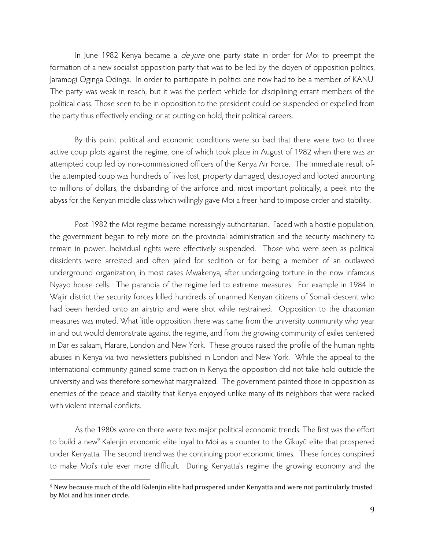In June 1982 Kenya became a *de-jure* one party state in order for Moi to preempt the formation of a new socialist opposition party that was to be led by the doyen of opposition politics, Jaramogi Oginga Odinga. In order to participate in politics one now had to be a member of KANU. The party was weak in reach, but it was the perfect vehicle for disciplining errant members of the political class. Those seen to be in opposition to the president could be suspended or expelled from the party thus effectively ending, or at putting on hold, their political careers.

By this point political and economic conditions were so bad that there were two to three active coup plots against the regime, one of which took place in August of 1982 when there was an attempted coup led by non-commissioned officers of the Kenya Air Force. The immediate result ofthe attempted coup was hundreds of lives lost, property damaged, destroyed and looted amounting to millions of dollars, the disbanding of the airforce and, most important politically, a peek into the abyss for the Kenyan middle class which willingly gave Moi a freer hand to impose order and stability.

Post-1982 the Moi regime became increasingly authoritarian. Faced with a hostile population, the government began to rely more on the provincial administration and the security machinery to remain in power. Individual rights were effectively suspended. Those who were seen as political dissidents were arrested and often jailed for sedition or for being a member of an outlawed underground organization, in most cases Mwakenya, after undergoing torture in the now infamous Nyayo house cells. The paranoia of the regime led to extreme measures. For example in 1984 in Wajir district the security forces killed hundreds of unarmed Kenyan citizens of Somali descent who had been herded onto an airstrip and were shot while restrained. Opposition to the draconian measures was muted. What little opposition there was came from the university community who year in and out would demonstrate against the regime, and from the growing community of exiles centered in Dar es salaam, Harare, London and New York. These groups raised the profile of the human rights abuses in Kenya via two newsletters published in London and New York. While the appeal to the international community gained some traction in Kenya the opposition did not take hold outside the university and was therefore somewhat marginalized. The government painted those in opposition as enemies of the peace and stability that Kenya enjoyed unlike many of its neighbors that were racked with violent internal conflicts.

As the 1980s wore on there were two major political economic trends. The first was the effort to build a new<sup>9</sup> Kalenjin economic elite loyal to Moi as a counter to the Gĩkuyũ elite that prospered under Kenyatta. The second trend was the continuing poor economic times. These forces conspired to make Moi's rule ever more difficult. During Kenyatta's regime the growing economy and the

<sup>9</sup> New because much of the old Kalenjin elite had prospered under Kenyatta and were not particularly trusted by Moi and his inner circle.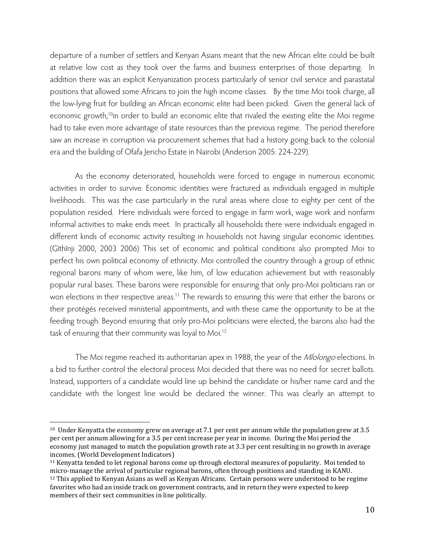departure of a number of settlers and Kenyan Asians meant that the new African elite could be built at relative low cost as they took over the farms and business enterprises of those departing. In addition there was an explicit Kenyanization process particularly of senior civil service and parastatal positions that allowed some Africans to join the high income classes. By the time Moi took charge, all the low-lying fruit for building an African economic elite had been picked. Given the general lack of economic growth,<sup>10</sup>in order to build an economic elite that rivaled the existing elite the Moi regime had to take even more advantage of state resources than the previous regime. The period therefore saw an increase in corruption via procurement schemes that had a history going back to the colonial era and the building of Ofafa Jericho Estate in Nairobi (Anderson 2005: 224-229).

As the economy deteriorated, households were forced to engage in numerous economic activities in order to survive. Economic identities were fractured as individuals engaged in multiple livelihoods. This was the case particularly in the rural areas where close to eighty per cent of the population resided. Here individuals were forced to engage in farm work, wage work and nonfarm informal activities to make ends meet. In practically all households there were individuals engaged in different kinds of economic activity resulting in households not having singular economic identities. (Gĩthĩnji 2000, 2003 2006) This set of economic and political conditions also prompted Moi to perfect his own political economy of ethnicity. Moi controlled the country through a group of ethnic regional barons many of whom were, like him, of low education achievement but with reasonably popular rural bases. These barons were responsible for ensuring that only pro-Moi politicians ran or won elections in their respective areas.<sup>11</sup> The rewards to ensuring this were that either the barons or their protégés received ministerial appointments, and with these came the opportunity to be at the feeding trough. Beyond ensuring that only pro-Moi politicians were elected, the barons also had the task of ensuring that their community was loyal to Moi.<sup>12</sup>

The Moi regime reached its authoritarian apex in 1988, the year of the *Mlolongo* elections. In a bid to further control the electoral process Moi decided that there was no need for secret ballots. Instead, supporters of a candidate would line up behind the candidate or his/her name card and the candidate with the longest line would be declared the winner. This was clearly an attempt to

<sup>&</sup>lt;sup>10</sup> Under Kenyatta the economy grew on average at 7.1 per cent per annum while the population grew at 3.5 per cent per annum allowing for a 3.5 per cent increase per year in income. During the Moi period the economy just managed to match the population growth rate at 3.3 per cent resulting in no growth in average incomes. (World Development Indicators)

<sup>11</sup> Kenyatta tended to let regional barons come up through electoral measures of popularity. Moi tended to micro‐manage the arrival of particular regional barons, often through positions and standing in KANU.  $12$  This applied to Kenyan Asians as well as Kenyan Africans. Certain persons were understood to be regime favorites who had an inside track on government contracts, and in return they were expected to keep members of their sect communities in line politically.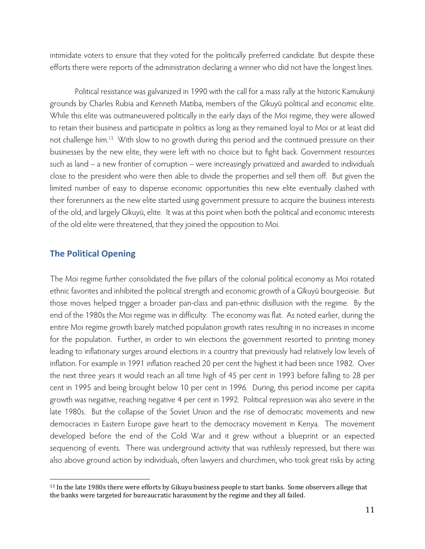intimidate voters to ensure that they voted for the politically preferred candidate. But despite these efforts there were reports of the administration declaring a winner who did not have the longest lines.

Political resistance was galvanized in 1990 with the call for a mass rally at the historic Kamukunji grounds by Charles Rubia and Kenneth Matiba, members of the Gĩkuyũ political and economic elite. While this elite was outmaneuvered politically in the early days of the Moi regime, they were allowed to retain their business and participate in politics as long as they remained loyal to Moi or at least did not challenge him.<sup>13</sup> With slow to no growth during this period and the continued pressure on their businesses by the new elite, they were left with no choice but to fight back. Government resources such as land – a new frontier of corruption – were increasingly privatized and awarded to individuals close to the president who were then able to divide the properties and sell them off. But given the limited number of easy to dispense economic opportunities this new elite eventually clashed with their forerunners as the new elite started using government pressure to acquire the business interests of the old, and largely Gĩkuyũ, elite. It was at this point when both the political and economic interests of the old elite were threatened, that they joined the opposition to Moi.

#### **The Political Opening**

The Moi regime further consolidated the five pillars of the colonial political economy as Moi rotated ethnic favorites and inhibited the political strength and economic growth of a Gĩkuyũ bourgeoisie. But those moves helped trigger a broader pan-class and pan-ethnic disillusion with the regime. By the end of the 1980s the Moi regime was in difficulty. The economy was flat. As noted earlier, during the entire Moi regime growth barely matched population growth rates resulting in no increases in income for the population. Further, in order to win elections the government resorted to printing money leading to inflationary surges around elections in a country that previously had relatively low levels of inflation. For example in 1991 inflation reached 20 per cent the highest it had been since 1982. Over the next three years it would reach an all time high of 45 per cent in 1993 before falling to 28 per cent in 1995 and being brought below 10 per cent in 1996. During, this period income per capita growth was negative, reaching negative 4 per cent in 1992. Political repression was also severe in the late 1980s. But the collapse of the Soviet Union and the rise of democratic movements and new democracies in Eastern Europe gave heart to the democracy movement in Kenya. The movement developed before the end of the Cold War and it grew without a blueprint or an expected sequencing of events. There was underground activity that was ruthlessly repressed, but there was also above ground action by individuals, often lawyers and churchmen, who took great risks by acting

<sup>&</sup>lt;sup>13</sup> In the late 1980s there were efforts by Gikuyu business people to start banks. Some observers allege that the banks were targeted for bureaucratic harassment by the regime and they all failed.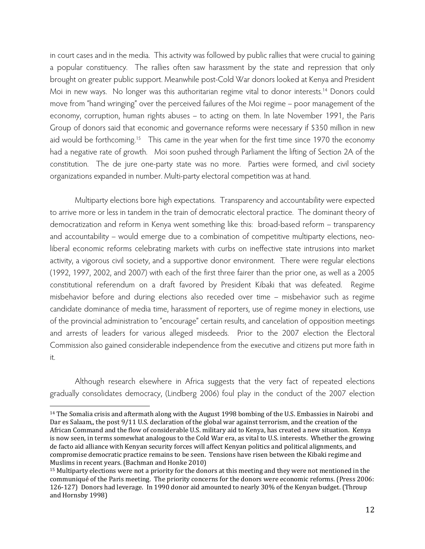in court cases and in the media. This activity was followed by public rallies that were crucial to gaining a popular constituency. The rallies often saw harassment by the state and repression that only brought on greater public support. Meanwhile post-Cold War donors looked at Kenya and President Moi in new ways. No longer was this authoritarian regime vital to donor interests.<sup>14</sup> Donors could move from "hand wringing" over the perceived failures of the Moi regime – poor management of the economy, corruption, human rights abuses – to acting on them. In late November 1991, the Paris Group of donors said that economic and governance reforms were necessary if \$350 million in new aid would be forthcoming.<sup>15</sup> This came in the year when for the first time since 1970 the economy had a negative rate of growth. Moi soon pushed through Parliament the lifting of Section 2A of the constitution. The de jure one-party state was no more. Parties were formed, and civil society organizations expanded in number. Multi-party electoral competition was at hand.

Multiparty elections bore high expectations. Transparency and accountability were expected to arrive more or less in tandem in the train of democratic electoral practice. The dominant theory of democratization and reform in Kenya went something like this: broad-based reform – transparency and accountability – would emerge due to a combination of competitive multiparty elections, neoliberal economic reforms celebrating markets with curbs on ineffective state intrusions into market activity, a vigorous civil society, and a supportive donor environment. There were regular elections (1992, 1997, 2002, and 2007) with each of the first three fairer than the prior one, as well as a 2005 constitutional referendum on a draft favored by President Kibaki that was defeated. Regime misbehavior before and during elections also receded over time – misbehavior such as regime candidate dominance of media time, harassment of reporters, use of regime money in elections, use of the provincial administration to "encourage" certain results, and cancelation of opposition meetings and arrests of leaders for various alleged misdeeds. Prior to the 2007 election the Electoral Commission also gained considerable independence from the executive and citizens put more faith in it.

Although research elsewhere in Africa suggests that the very fact of repeated elections gradually consolidates democracy, (Lindberg 2006) foul play in the conduct of the 2007 election

<sup>14</sup> The Somalia crisis and aftermath along with the August 1998 bombing of the U.S. Embassies in Nairobi and Dar es Salaam,, the post 9/11 U.S. declaration of the global war against terrorism, and the creation of the African Command and the flow of considerable U.S. military aid to Kenya, has created a new situation. Kenya is now seen, in terms somewhat analogous to the Cold War era, as vital to U.S. interests. Whether the growing de facto aid alliance with Kenyan security forces will affect Kenyan politics and political alignments, and compromise democratic practice remains to be seen. Tensions have risen between the Kibaki regime and Muslims in recent years. (Bachman and Honke 2010)

<sup>15</sup> Multiparty elections were not a priority for the donors at this meeting and they were not mentioned in the communiqué of the Paris meeting. The priority concerns for the donors were economic reforms. (Press 2006: 126‐127) Donors had leverage. In 1990 donor aid amounted to nearly 30% of the Kenyan budget. (Throup and Hornsby 1998)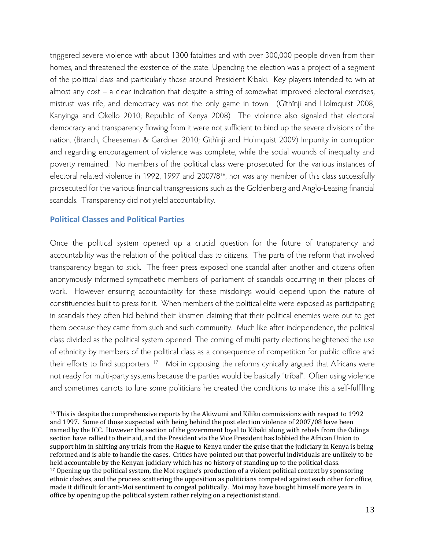triggered severe violence with about 1300 fatalities and with over 300,000 people driven from their homes, and threatened the existence of the state. Upending the election was a project of a segment of the political class and particularly those around President Kibaki. Key players intended to win at almost any cost – a clear indication that despite a string of somewhat improved electoral exercises, mistrust was rife, and democracy was not the only game in town. (Gĩthĩnji and Holmquist 2008; Kanyinga and Okello 2010; Republic of Kenya 2008) The violence also signaled that electoral democracy and transparency flowing from it were not sufficient to bind up the severe divisions of the nation. (Branch, Cheeseman & Gardner 2010; Gĩthĩnji and Holmquist 2009) Impunity in corruption and regarding encouragement of violence was complete, while the social wounds of inequality and poverty remained. No members of the political class were prosecuted for the various instances of electoral related violence in 1992, 1997 and 2007/8<sup>16</sup>, nor was any member of this class successfully prosecuted for the various financial transgressions such as the Goldenberg and Anglo-Leasing financial scandals. Transparency did not yield accountability.

#### **Political Classes and Political Parties**

Once the political system opened up a crucial question for the future of transparency and accountability was the relation of the political class to citizens. The parts of the reform that involved transparency began to stick. The freer press exposed one scandal after another and citizens often anonymously informed sympathetic members of parliament of scandals occurring in their places of work. However ensuring accountability for these misdoings would depend upon the nature of constituencies built to press for it. When members of the political elite were exposed as participating in scandals they often hid behind their kinsmen claiming that their political enemies were out to get them because they came from such and such community. Much like after independence, the political class divided as the political system opened. The coming of multi party elections heightened the use of ethnicity by members of the political class as a consequence of competition for public office and their efforts to find supporters.<sup>17</sup> Moi in opposing the reforms cynically argued that Africans were not ready for multi-party systems because the parties would be basically "tribal". Often using violence and sometimes carrots to lure some politicians he created the conditions to make this a self-fulfilling

<sup>16</sup> This is despite the comprehensive reports by the Akiwumi and Kiliku commissions with respect to 1992 and 1997. Some of those suspected with being behind the post election violence of 2007/08 have been named by the ICC. However the section of the government loyal to Kibaki along with rebels from the Odinga section have rallied to their aid, and the President via the Vice President has lobbied the African Union to support him in shifting any trials from the Hague to Kenya under the guise that the judiciary in Kenya is being reformed and is able to handle the cases. Critics have pointed out that powerful individuals are unlikely to be held accountable by the Kenyan judiciary which has no history of standing up to the political class. <sup>17</sup> Opening up the political system, the Moi regime's production of a violent political context by sponsoring ethnic clashes, and the process scattering the opposition as politicians competed against each other for office, made it difficult for anti-Moi sentiment to congeal politically. Moi may have bought himself more years in office by opening up the political system rather relying on a rejectionist stand.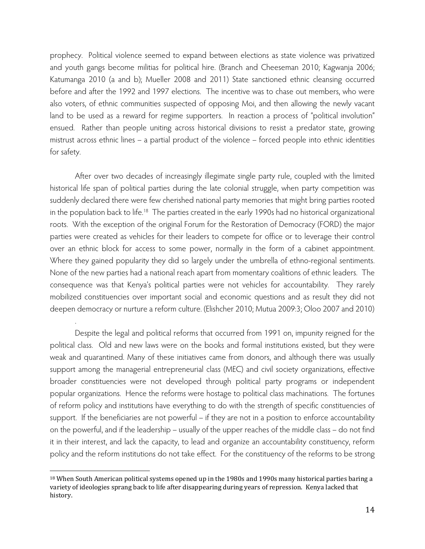prophecy. Political violence seemed to expand between elections as state violence was privatized and youth gangs become militias for political hire. (Branch and Cheeseman 2010; Kagwanja 2006; Katumanga 2010 (a and b); Mueller 2008 and 2011) State sanctioned ethnic cleansing occurred before and after the 1992 and 1997 elections. The incentive was to chase out members, who were also voters, of ethnic communities suspected of opposing Moi, and then allowing the newly vacant land to be used as a reward for regime supporters. In reaction a process of "political involution" ensued. Rather than people uniting across historical divisions to resist a predator state, growing mistrust across ethnic lines – a partial product of the violence – forced people into ethnic identities for safety.

After over two decades of increasingly illegimate single party rule, coupled with the limited historical life span of political parties during the late colonial struggle, when party competition was suddenly declared there were few cherished national party memories that might bring parties rooted in the population back to life.<sup>18</sup> The parties created in the early 1990s had no historical organizational roots. With the exception of the original Forum for the Restoration of Democracy (FORD) the major parties were created as vehicles for their leaders to compete for office or to leverage their control over an ethnic block for access to some power, normally in the form of a cabinet appointment. Where they gained popularity they did so largely under the umbrella of ethno-regional sentiments. None of the new parties had a national reach apart from momentary coalitions of ethnic leaders. The consequence was that Kenya's political parties were not vehicles for accountability. They rarely mobilized constituencies over important social and economic questions and as result they did not deepen democracy or nurture a reform culture. (Elishcher 2010; Mutua 2009:3; Oloo 2007 and 2010)

Despite the legal and political reforms that occurred from 1991 on, impunity reigned for the political class. Old and new laws were on the books and formal institutions existed, but they were weak and quarantined. Many of these initiatives came from donors, and although there was usually support among the managerial entrepreneurial class (MEC) and civil society organizations, effective broader constituencies were not developed through political party programs or independent popular organizations. Hence the reforms were hostage to political class machinations. The fortunes of reform policy and institutions have everything to do with the strength of specific constituencies of support. If the beneficiaries are not powerful – if they are not in a position to enforce accountability on the powerful, and if the leadership – usually of the upper reaches of the middle class – do not find it in their interest, and lack the capacity, to lead and organize an accountability constituency, reform policy and the reform institutions do not take effect. For the constituency of the reforms to be strong

.

<sup>&</sup>lt;sup>18</sup> When South American political systems opened up in the 1980s and 1990s many historical parties baring a variety of ideologies sprang back to life after disappearing during years of repression. Kenya lacked that history.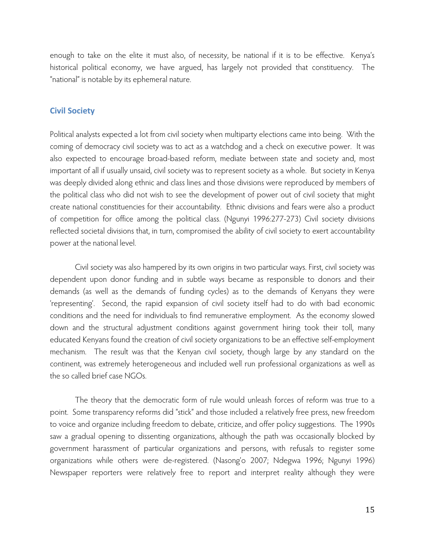enough to take on the elite it must also, of necessity, be national if it is to be effective. Kenya's historical political economy, we have argued, has largely not provided that constituency. The "national" is notable by its ephemeral nature.

#### **Civil Society**

Political analysts expected a lot from civil society when multiparty elections came into being. With the coming of democracy civil society was to act as a watchdog and a check on executive power. It was also expected to encourage broad-based reform, mediate between state and society and, most important of all if usually unsaid, civil society was to represent society as a whole. But society in Kenya was deeply divided along ethnic and class lines and those divisions were reproduced by members of the political class who did not wish to see the development of power out of civil society that might create national constituencies for their accountability. Ethnic divisions and fears were also a product of competition for office among the political class. (Ngunyi 1996:277-273) Civil society divisions reflected societal divisions that, in turn, compromised the ability of civil society to exert accountability power at the national level.

Civil society was also hampered by its own origins in two particular ways. First, civil society was dependent upon donor funding and in subtle ways became as responsible to donors and their demands (as well as the demands of funding cycles) as to the demands of Kenyans they were 'representing'. Second, the rapid expansion of civil society itself had to do with bad economic conditions and the need for individuals to find remunerative employment. As the economy slowed down and the structural adjustment conditions against government hiring took their toll, many educated Kenyans found the creation of civil society organizations to be an effective self-employment mechanism. The result was that the Kenyan civil society, though large by any standard on the continent, was extremely heterogeneous and included well run professional organizations as well as the so called brief case NGOs.

The theory that the democratic form of rule would unleash forces of reform was true to a point. Some transparency reforms did "stick" and those included a relatively free press, new freedom to voice and organize including freedom to debate, criticize, and offer policy suggestions. The 1990s saw a gradual opening to dissenting organizations, although the path was occasionally blocked by government harassment of particular organizations and persons, with refusals to register some organizations while others were de-registered. (Nasong'o 2007; Ndegwa 1996; Ngunyi 1996) Newspaper reporters were relatively free to report and interpret reality although they were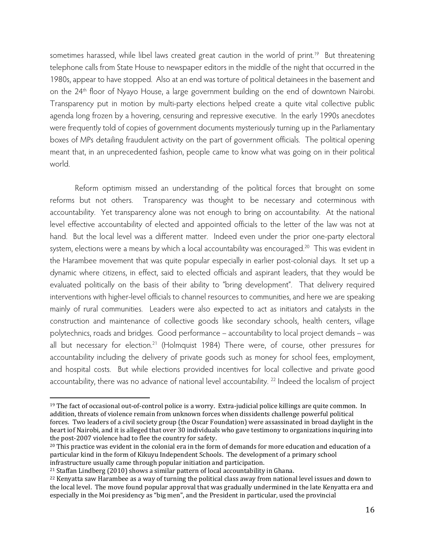sometimes harassed, while libel laws created great caution in the world of print.<sup>19</sup> But threatening telephone calls from State House to newspaper editors in the middle of the night that occurred in the 1980s, appear to have stopped. Also at an end was torture of political detainees in the basement and on the 24<sup>th</sup> floor of Nyayo House, a large government building on the end of downtown Nairobi. Transparency put in motion by multi-party elections helped create a quite vital collective public agenda long frozen by a hovering, censuring and repressive executive. In the early 1990s anecdotes were frequently told of copies of government documents mysteriously turning up in the Parliamentary boxes of MPs detailing fraudulent activity on the part of government officials. The political opening meant that, in an unprecedented fashion, people came to know what was going on in their political world.

Reform optimism missed an understanding of the political forces that brought on some reforms but not others. Transparency was thought to be necessary and coterminous with accountability. Yet transparency alone was not enough to bring on accountability. At the national level effective accountability of elected and appointed officials to the letter of the law was not at hand. But the local level was a different matter. Indeed even under the prior one-party electoral system, elections were a means by which a local accountability was encouraged.<sup>20</sup> This was evident in the Harambee movement that was quite popular especially in earlier post-colonial days. It set up a dynamic where citizens, in effect, said to elected officials and aspirant leaders, that they would be evaluated politically on the basis of their ability to "bring development". That delivery required interventions with higher-level officials to channel resources to communities, and here we are speaking mainly of rural communities. Leaders were also expected to act as initiators and catalysts in the construction and maintenance of collective goods like secondary schools, health centers, village polytechnics, roads and bridges. Good performance – accountability to local project demands – was all but necessary for election.<sup>21</sup> (Holmquist 1984) There were, of course, other pressures for accountability including the delivery of private goods such as money for school fees, employment, and hospital costs. But while elections provided incentives for local collective and private good accountability, there was no advance of national level accountability.<sup>22</sup> Indeed the localism of project

 $19$  The fact of occasional out-of-control police is a worry. Extra-judicial police killings are quite common. In addition, threats of violence remain from unknown forces when dissidents challenge powerful political forces. Two leaders of a civil society group (the Oscar Foundation) were assassinated in broad daylight in the heart iof Nairobi, and it is alleged that over 30 individuals who gave testimony to organizations inquiring into the post-2007 violence had to flee the country for safety.

<sup>&</sup>lt;sup>20</sup> This practice was evident in the colonial era in the form of demands for more education and education of a particular kind in the form of Kikuyu Independent Schools. The development of a primary school infrastructure usually came through popular initiation and participation.

<sup>21</sup> Staffan Lindberg (2010) shows a similar pattern of local accountability in Ghana.

<sup>22</sup> Kenyatta saw Harambee as a way of turning the political class away from national level issues and down to the local level. The move found popular approval that was gradually undermined in the late Kenyatta era and especially in the Moi presidency as "big men", and the President in particular, used the provincial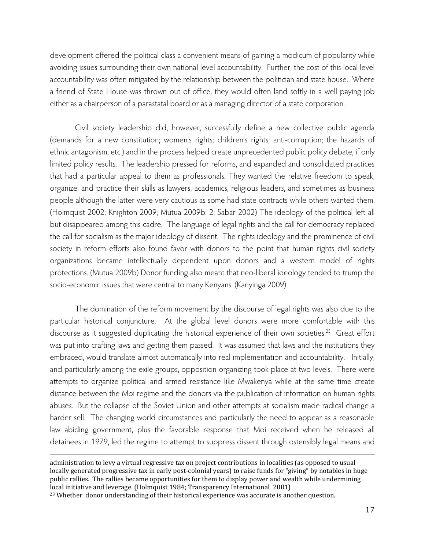development offered the political class a convenient means of gaining a modicum of popularity while avoiding issues surrounding their own national level accountability. Further, the cost of this local level accountability was often mitigated by the relationship between the politician and state house. Where a friend of State House was thrown out of office, they would often land softly in a well paying job either as a chairperson of a parastatal board or as a managing director of a state corporation.

Civil society leadership did, however, successfully define a new collective public agenda (demands for a new constitution; women's rights; children's rights; anti-corruption; the hazards of ethnic antagonism, etc.) and in the process helped create unprecedented public policy debate, if only limited policy results. The leadership pressed for reforms, and expanded and consolidated practices that had a particular appeal to them as professionals. They wanted the relative freedom to speak, organize, and practice their skills as lawyers, academics, religious leaders, and sometimes as business people although the latter were very cautious as some had state contracts while others wanted them. (Holmquist 2002; Knighton 2009; Mutua 2009b: 2; Sabar 2002) The ideology of the political left all but disappeared among this cadre. The language of legal rights and the call for democracy replaced the call for socialism as the major ideology of dissent. The rights ideology and the prominence of civil society in reform efforts also found favor with donors to the point that human rights civil society organizations became intellectually dependent upon donors and a western model of rights protections. (Mutua 2009b) Donor funding also meant that neo-liberal ideology tended to trump the socio-economic issues that were central to many Kenyans. (Kanyinga 2009)

The domination of the reform movement by the discourse of legal rights was also due to the particular historical conjuncture. At the global level donors were more comfortable with this discourse as it suggested duplicating the historical experience of their own societies.<sup>23</sup> Great effort was put into crafting laws and getting them passed. It was assumed that laws and the institutions they embraced, would translate almost automatically into real implementation and accountability. Initially, and particularly among the exile groups, opposition organizing took place at two levels. There were attempts to organize political and armed resistance like Mwakenya while at the same time create distance between the Moi regime and the donors via the publication of information on human rights abuses. But the collapse of the Soviet Union and other attempts at socialism made radical change a harder sell. The changing world circumstances and particularly the need to appear as a reasonable law abiding government, plus the favorable response that Moi received when he released all detainees in 1979, led the regime to attempt to suppress dissent through ostensibly legal means and

<u> 1989 - Andrea Santa Andrea Andrea Andrea Andrea Andrea Andrea Andrea Andrea Andrea Andrea Andrea Andrea Andr</u>

administration to levy a virtual regressive tax on project contributions in localities (as opposed to usual locally generated progressive tax in early post-colonial years) to raise funds for "giving" by notables in huge public rallies. The rallies became opportunities for them to display power and wealth while undermining local initiative and leverage. (Holmquist 1984; Transparency International 2001)

<sup>&</sup>lt;sup>23</sup> Whether donor understanding of their historical experience was accurate is another question.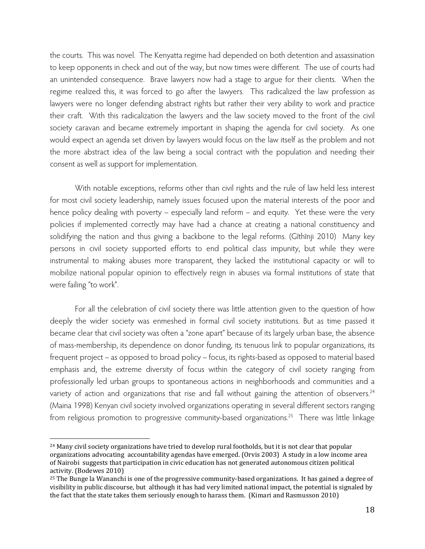the courts. This was novel. The Kenyatta regime had depended on both detention and assassination to keep opponents in check and out of the way, but now times were different. The use of courts had an unintended consequence. Brave lawyers now had a stage to argue for their clients. When the regime realized this, it was forced to go after the lawyers. This radicalized the law profession as lawyers were no longer defending abstract rights but rather their very ability to work and practice their craft. With this radicalization the lawyers and the law society moved to the front of the civil society caravan and became extremely important in shaping the agenda for civil society. As one would expect an agenda set driven by lawyers would focus on the law itself as the problem and not the more abstract idea of the law being a social contract with the population and needing their consent as well as support for implementation.

With notable exceptions, reforms other than civil rights and the rule of law held less interest for most civil society leadership, namely issues focused upon the material interests of the poor and hence policy dealing with poverty – especially land reform – and equity. Yet these were the very policies if implemented correctly may have had a chance at creating a national constituency and solidifying the nation and thus giving a backbone to the legal reforms. (Gĩthĩnji 2010) Many key persons in civil society supported efforts to end political class impunity, but while they were instrumental to making abuses more transparent, they lacked the institutional capacity or will to mobilize national popular opinion to effectively reign in abuses via formal institutions of state that were failing "to work".

For all the celebration of civil society there was little attention given to the question of how deeply the wider society was enmeshed in formal civil society institutions. But as time passed it became clear that civil society was often a "zone apart" because of its largely urban base, the absence of mass-membership, its dependence on donor funding, its tenuous link to popular organizations, its frequent project – as opposed to broad policy – focus, its rights-based as opposed to material based emphasis and, the extreme diversity of focus within the category of civil society ranging from professionally led urban groups to spontaneous actions in neighborhoods and communities and a variety of action and organizations that rise and fall without gaining the attention of observers.<sup>24</sup> (Maina 1998) Kenyan civil society involved organizations operating in several different sectors ranging from religious promotion to progressive community-based organizations.<sup>25</sup> There was little linkage

<sup>&</sup>lt;sup>24</sup> Many civil society organizations have tried to develop rural footholds, but it is not clear that popular organizations advocating accountability agendas have emerged. (Orvis 2003) A study in a low income area of Nairobi suggests that participation in civic education has not generated autonomous citizen political activity. (Bodewes 2010)

<sup>&</sup>lt;sup>25</sup> The Bunge la Wananchi is one of the progressive community-based organizations. It has gained a degree of visibility in public discourse, but although it has had very limited national impact, the potential is signaled by the fact that the state takes them seriously enough to harass them. (Kimari and Rasmusson 2010)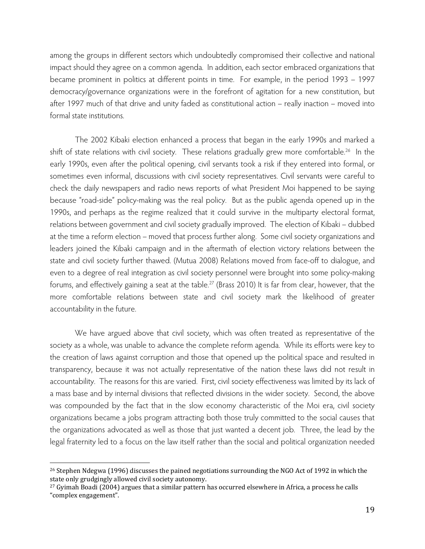among the groups in different sectors which undoubtedly compromised their collective and national impact should they agree on a common agenda. In addition, each sector embraced organizations that became prominent in politics at different points in time. For example, in the period 1993 – 1997 democracy/governance organizations were in the forefront of agitation for a new constitution, but after 1997 much of that drive and unity faded as constitutional action – really inaction – moved into formal state institutions.

The 2002 Kibaki election enhanced a process that began in the early 1990s and marked a shift of state relations with civil society. These relations gradually grew more comfortable.<sup>26</sup> In the early 1990s, even after the political opening, civil servants took a risk if they entered into formal, or sometimes even informal, discussions with civil society representatives. Civil servants were careful to check the daily newspapers and radio news reports of what President Moi happened to be saying because "road-side" policy-making was the real policy. But as the public agenda opened up in the 1990s, and perhaps as the regime realized that it could survive in the multiparty electoral format, relations between government and civil society gradually improved. The election of Kibaki – dubbed at the time a reform election – moved that process further along. Some civil society organizations and leaders joined the Kibaki campaign and in the aftermath of election victory relations between the state and civil society further thawed. (Mutua 2008) Relations moved from face-off to dialogue, and even to a degree of real integration as civil society personnel were brought into some policy-making forums, and effectively gaining a seat at the table.<sup>27</sup> (Brass 2010) It is far from clear, however, that the more comfortable relations between state and civil society mark the likelihood of greater accountability in the future.

We have argued above that civil society, which was often treated as representative of the society as a whole, was unable to advance the complete reform agenda. While its efforts were key to the creation of laws against corruption and those that opened up the political space and resulted in transparency, because it was not actually representative of the nation these laws did not result in accountability. The reasons for this are varied. First, civil society effectiveness was limited by its lack of a mass base and by internal divisions that reflected divisions in the wider society. Second, the above was compounded by the fact that in the slow economy characteristic of the Moi era, civil society organizations became a jobs program attracting both those truly committed to the social causes that the organizations advocated as well as those that just wanted a decent job. Three, the lead by the legal fraternity led to a focus on the law itself rather than the social and political organization needed

<sup>&</sup>lt;sup>26</sup> Stephen Ndegwa (1996) discusses the pained negotiations surrounding the NGO Act of 1992 in which the state only grudgingly allowed civil society autonomy.

<sup>&</sup>lt;sup>27</sup> Gyimah Boadi (2004) argues that a similar pattern has occurred elsewhere in Africa, a process he calls "complex engagement".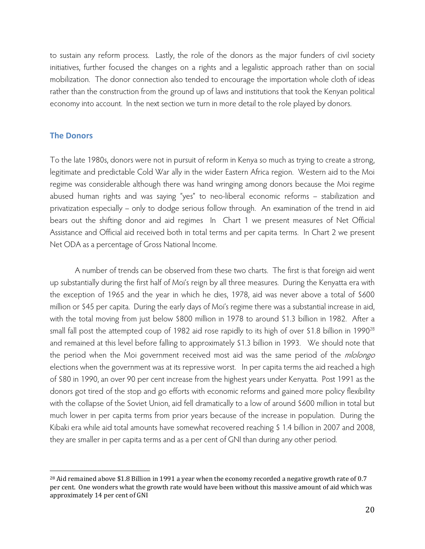to sustain any reform process. Lastly, the role of the donors as the major funders of civil society initiatives, further focused the changes on a rights and a legalistic approach rather than on social mobilization. The donor connection also tended to encourage the importation whole cloth of ideas rather than the construction from the ground up of laws and institutions that took the Kenyan political economy into account. In the next section we turn in more detail to the role played by donors.

#### **The Donors**

To the late 1980s, donors were not in pursuit of reform in Kenya so much as trying to create a strong, legitimate and predictable Cold War ally in the wider Eastern Africa region. Western aid to the Moi regime was considerable although there was hand wringing among donors because the Moi regime abused human rights and was saying "yes" to neo-liberal economic reforms – stabilization and privatization especially – only to dodge serious follow through. An examination of the trend in aid bears out the shifting donor and aid regimes In Chart 1 we present measures of Net Official Assistance and Official aid received both in total terms and per capita terms. In Chart 2 we present Net ODA as a percentage of Gross National Income.

A number of trends can be observed from these two charts. The first is that foreign aid went up substantially during the first half of Moi's reign by all three measures. During the Kenyatta era with the exception of 1965 and the year in which he dies, 1978, aid was never above a total of \$600 million or \$45 per capita. During the early days of Moi's regime there was a substantial increase in aid, with the total moving from just below \$800 million in 1978 to around \$1.3 billion in 1982. After a small fall post the attempted coup of 1982 aid rose rapidly to its high of over \$1.8 billion in 1990<sup>28</sup> and remained at this level before falling to approximately \$1.3 billion in 1993. We should note that the period when the Moi government received most aid was the same period of the *mlolongo* elections when the government was at its repressive worst. In per capita terms the aid reached a high of \$80 in 1990, an over 90 per cent increase from the highest years under Kenyatta. Post 1991 as the donors got tired of the stop and go efforts with economic reforms and gained more policy flexibility with the collapse of the Soviet Union, aid fell dramatically to a low of around \$600 million in total but much lower in per capita terms from prior years because of the increase in population. During the Kibaki era while aid total amounts have somewhat recovered reaching \$ 1.4 billion in 2007 and 2008, they are smaller in per capita terms and as a per cent of GNI than during any other period.

<sup>&</sup>lt;sup>28</sup> Aid remained above \$1.8 Billion in 1991 a year when the economy recorded a negative growth rate of 0.7 per cent. One wonders what the growth rate would have been without this massive amount of aid which was approximately 14 per cent of GNI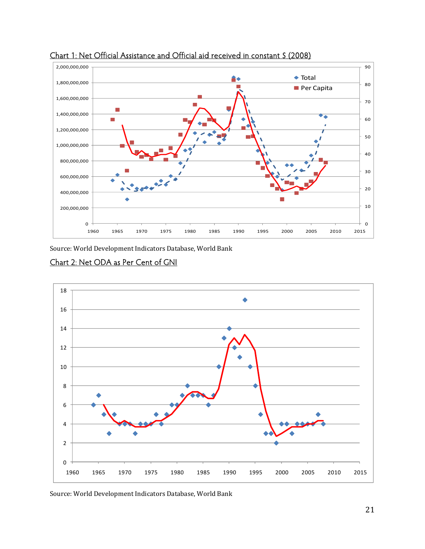

Chart 1: Net Official Assistance and Official aid received in constant \$ (2008)

Source: World Development Indicators Database, World Bank

#### Chart 2: Net ODA as Per Cent of GNI



Source: World Development Indicators Database, World Bank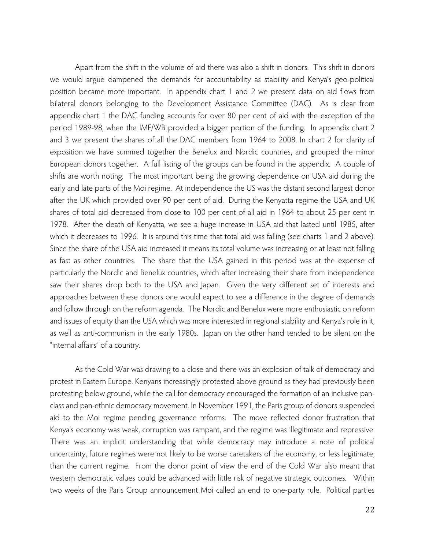Apart from the shift in the volume of aid there was also a shift in donors. This shift in donors we would argue dampened the demands for accountability as stability and Kenya's geo-political position became more important. In appendix chart 1 and 2 we present data on aid flows from bilateral donors belonging to the Development Assistance Committee (DAC). As is clear from appendix chart 1 the DAC funding accounts for over 80 per cent of aid with the exception of the period 1989-98, when the IMF/WB provided a bigger portion of the funding. In appendix chart 2 and 3 we present the shares of all the DAC members from 1964 to 2008. In chart 2 for clarity of exposition we have summed together the Benelux and Nordic countries, and grouped the minor European donors together. A full listing of the groups can be found in the appendix. A couple of shifts are worth noting. The most important being the growing dependence on USA aid during the early and late parts of the Moi regime. At independence the US was the distant second largest donor after the UK which provided over 90 per cent of aid. During the Kenyatta regime the USA and UK shares of total aid decreased from close to 100 per cent of all aid in 1964 to about 25 per cent in 1978. After the death of Kenyatta, we see a huge increase in USA aid that lasted until 1985, after which it decreases to 1996. It is around this time that total aid was falling (see charts 1 and 2 above). Since the share of the USA aid increased it means its total volume was increasing or at least not falling as fast as other countries. The share that the USA gained in this period was at the expense of particularly the Nordic and Benelux countries, which after increasing their share from independence saw their shares drop both to the USA and Japan. Given the very different set of interests and approaches between these donors one would expect to see a difference in the degree of demands and follow through on the reform agenda. The Nordic and Benelux were more enthusiastic on reform and issues of equity than the USA which was more interested in regional stability and Kenya's role in it, as well as anti-communism in the early 1980s. Japan on the other hand tended to be silent on the "internal affairs" of a country.

As the Cold War was drawing to a close and there was an explosion of talk of democracy and protest in Eastern Europe. Kenyans increasingly protested above ground as they had previously been protesting below ground, while the call for democracy encouraged the formation of an inclusive panclass and pan-ethnic democracy movement. In November 1991, the Paris group of donors suspended aid to the Moi regime pending governance reforms. The move reflected donor frustration that Kenya's economy was weak, corruption was rampant, and the regime was illegitimate and repressive. There was an implicit understanding that while democracy may introduce a note of political uncertainty, future regimes were not likely to be worse caretakers of the economy, or less legitimate, than the current regime. From the donor point of view the end of the Cold War also meant that western democratic values could be advanced with little risk of negative strategic outcomes. Within two weeks of the Paris Group announcement Moi called an end to one-party rule. Political parties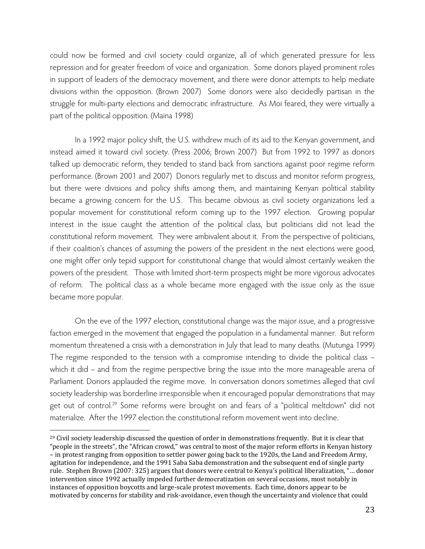could now be formed and civil society could organize, all of which generated pressure for less repression and for greater freedom of voice and organization. Some donors played prominent roles in support of leaders of the democracy movement, and there were donor attempts to help mediate divisions within the opposition. (Brown 2007) Some donors were also decidedly partisan in the struggle for multi-party elections and democratic infrastructure. As Moi feared, they were virtually a part of the political opposition. (Maina 1998)

In a 1992 major policy shift, the U.S. withdrew much of its aid to the Kenyan government, and instead aimed it toward civil society. (Press 2006; Brown 2007) But from 1992 to 1997 as donors talked up democratic reform, they tended to stand back from sanctions against poor regime reform performance. (Brown 2001 and 2007) Donors regularly met to discuss and monitor reform progress, but there were divisions and policy shifts among them, and maintaining Kenyan political stability became a growing concern for the U.S. This became obvious as civil society organizations led a popular movement for constitutional reform coming up to the 1997 election. Growing popular interest in the issue caught the attention of the political class, but politicians did not lead the constitutional reform movement. They were ambivalent about it. From the perspective of politicians, if their coalition's chances of assuming the powers of the president in the next elections were good, one might offer only tepid support for constitutional change that would almost certainly weaken the powers of the president. Those with limited short-term prospects might be more vigorous advocates of reform. The political class as a whole became more engaged with the issue only as the issue became more popular.

On the eve of the 1997 election, constitutional change was the major issue, and a progressive faction emerged in the movement that engaged the population in a fundamental manner. But reform momentum threatened a crisis with a demonstration in July that lead to many deaths. (Mutunga 1999) The regime responded to the tension with a compromise intending to divide the political class – which it did – and from the regime perspective bring the issue into the more manageable arena of Parliament. Donors applauded the regime move. In conversation donors sometimes alleged that civil society leadership was borderline irresponsible when it encouraged popular demonstrations that may get out of control.<sup>29</sup> Some reforms were brought on and fears of a "political meltdown" did not materialize. After the 1997 election the constitutional reform movement went into decline.

<sup>&</sup>lt;sup>29</sup> Civil society leadership discussed the question of order in demonstrations frequently. But it is clear that "people in the streets", the "African crowd," was central to most of the major reform efforts in Kenyan history – in protest ranging from opposition to settler power going back to the 1920s, the Land and Freedom Army, agitation for independence, and the 1991 Saba Saba demonstration and the subsequent end of single party rule. Stephen Brown (2007: 325) argues that donors were central to Kenya's political liberalization, "… donor intervention since 1992 actually impeded further democratization on several occasions, most notably in instances of opposition boycotts and large‐scale protest movements. Each time, donors appear to be motivated by concerns for stability and risk‐avoidance, even though the uncertainty and violence that could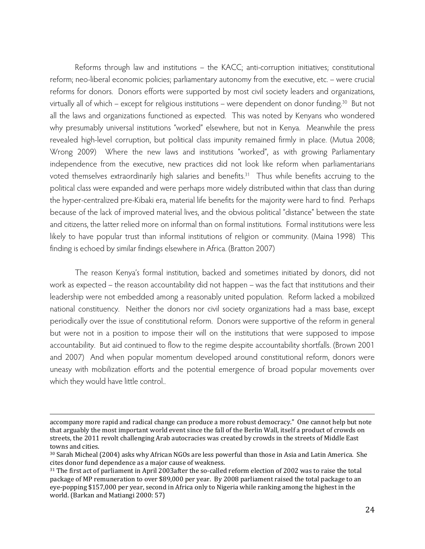Reforms through law and institutions – the KACC; anti-corruption initiatives; constitutional reform; neo-liberal economic policies; parliamentary autonomy from the executive, etc. – were crucial reforms for donors. Donors efforts were supported by most civil society leaders and organizations, virtually all of which – except for religious institutions – were dependent on donor funding.<sup>30</sup> But not all the laws and organizations functioned as expected. This was noted by Kenyans who wondered why presumably universal institutions "worked" elsewhere, but not in Kenya. Meanwhile the press revealed high-level corruption, but political class impunity remained firmly in place. (Mutua 2008; Wrong 2009) Where the new laws and institutions "worked", as with growing Parliamentary independence from the executive, new practices did not look like reform when parliamentarians voted themselves extraordinarily high salaries and benefits.<sup>31</sup> Thus while benefits accruing to the political class were expanded and were perhaps more widely distributed within that class than during the hyper-centralized pre-Kibaki era, material life benefits for the majority were hard to find. Perhaps because of the lack of improved material lives, and the obvious political "distance" between the state and citizens, the latter relied more on informal than on formal institutions. Formal institutions were less likely to have popular trust than informal institutions of religion or community. (Maina 1998) This finding is echoed by similar findings elsewhere in Africa. (Bratton 2007)

The reason Kenya's formal institution, backed and sometimes initiated by donors, did not work as expected – the reason accountability did not happen – was the fact that institutions and their leadership were not embedded among a reasonably united population. Reform lacked a mobilized national constituency. Neither the donors nor civil society organizations had a mass base, except periodically over the issue of constitutional reform. Donors were supportive of the reform in general but were not in a position to impose their will on the institutions that were supposed to impose accountability. But aid continued to flow to the regime despite accountability shortfalls. (Brown 2001 and 2007) And when popular momentum developed around constitutional reform, donors were uneasy with mobilization efforts and the potential emergence of broad popular movements over which they would have little control..

<u> 1989 - Andrea Santa Andrea Andrea Andrea Andrea Andrea Andrea Andrea Andrea Andrea Andrea Andrea Andrea Andr</u>

accompany more rapid and radical change can produce a more robust democracy." One cannot help but note that arguably the most important world event since the fall of the Berlin Wall, itself a product of crowds on streets, the 2011 revolt challenging Arab autocracies was created by crowds in the streets of Middle East towns and cities.

<sup>&</sup>lt;sup>30</sup> Sarah Micheal (2004) asks why African NGOs are less powerful than those in Asia and Latin America. She cites donor fund dependence as a major cause of weakness.

<sup>&</sup>lt;sup>31</sup> The first act of parliament in April 2003after the so-called reform election of 2002 was to raise the total package of MP remuneration to over \$89,000 per year. By 2008 parliament raised the total package to an eye‐popping \$157,000 per year, second in Africa only to Nigeria while ranking among the highest in the world. (Barkan and Matiangi 2000: 57)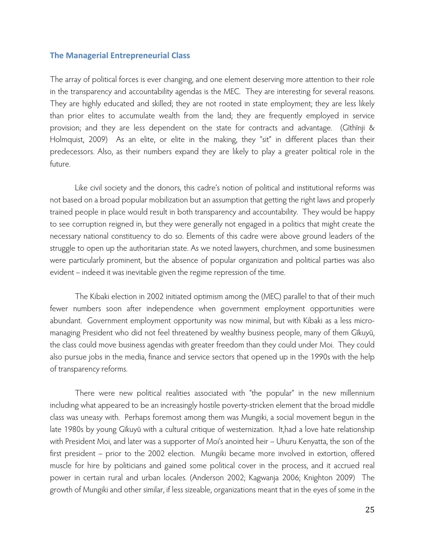#### **The Managerial Entrepreneurial Class**

The array of political forces is ever changing, and one element deserving more attention to their role in the transparency and accountability agendas is the MEC. They are interesting for several reasons. They are highly educated and skilled; they are not rooted in state employment; they are less likely than prior elites to accumulate wealth from the land; they are frequently employed in service provision; and they are less dependent on the state for contracts and advantage. (Gĩthĩnji & Holmquist, 2009) As an elite, or elite in the making, they "sit" in different places than their predecessors. Also, as their numbers expand they are likely to play a greater political role in the future.

Like civil society and the donors, this cadre's notion of political and institutional reforms was not based on a broad popular mobilization but an assumption that getting the right laws and properly trained people in place would result in both transparency and accountability. They would be happy to see corruption reigned in, but they were generally not engaged in a politics that might create the necessary national constituency to do so. Elements of this cadre were above ground leaders of the struggle to open up the authoritarian state. As we noted lawyers, churchmen, and some businessmen were particularly prominent, but the absence of popular organization and political parties was also evident – indeed it was inevitable given the regime repression of the time.

The Kibaki election in 2002 initiated optimism among the (MEC) parallel to that of their much fewer numbers soon after independence when government employment opportunities were abundant. Government employment opportunity was now minimal, but with Kibaki as a less micromanaging President who did not feel threatened by wealthy business people, many of them Gĩkuyũ, the class could move business agendas with greater freedom than they could under Moi. They could also pursue jobs in the media, finance and service sectors that opened up in the 1990s with the help of transparency reforms.

There were new political realities associated with "the popular" in the new millennium including what appeared to be an increasingly hostile poverty-stricken element that the broad middle class was uneasy with. Perhaps foremost among them was Mungiki, a social movement begun in the late 1980s by young Gĩkuyũ with a cultural critique of westernization. It,had a love hate relationship with President Moi, and later was a supporter of Moi's anointed heir – Uhuru Kenyatta, the son of the first president – prior to the 2002 election. Mungiki became more involved in extortion, offered muscle for hire by politicians and gained some political cover in the process, and it accrued real power in certain rural and urban locales. (Anderson 2002; Kagwanja 2006; Knighton 2009) The growth of Mungiki and other similar, if less sizeable, organizations meant that in the eyes of some in the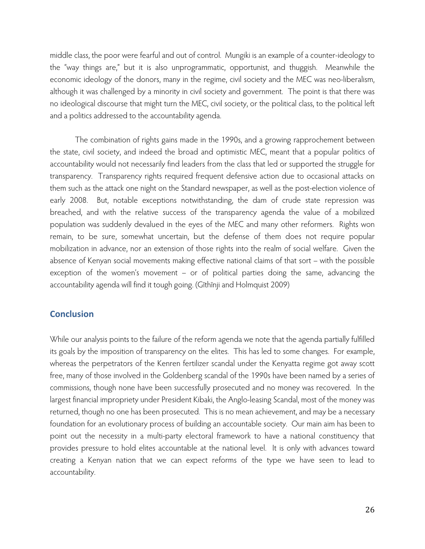middle class, the poor were fearful and out of control. Mungiki is an example of a counter-ideology to the "way things are," but it is also unprogrammatic, opportunist, and thuggish. Meanwhile the economic ideology of the donors, many in the regime, civil society and the MEC was neo-liberalism, although it was challenged by a minority in civil society and government. The point is that there was no ideological discourse that might turn the MEC, civil society, or the political class, to the political left and a politics addressed to the accountability agenda.

The combination of rights gains made in the 1990s, and a growing rapprochement between the state, civil society, and indeed the broad and optimistic MEC, meant that a popular politics of accountability would not necessarily find leaders from the class that led or supported the struggle for transparency. Transparency rights required frequent defensive action due to occasional attacks on them such as the attack one night on the Standard newspaper, as well as the post-election violence of early 2008. But, notable exceptions notwithstanding, the dam of crude state repression was breached, and with the relative success of the transparency agenda the value of a mobilized population was suddenly devalued in the eyes of the MEC and many other reformers. Rights won remain, to be sure, somewhat uncertain, but the defense of them does not require popular mobilization in advance, nor an extension of those rights into the realm of social welfare. Given the absence of Kenyan social movements making effective national claims of that sort – with the possible exception of the women's movement – or of political parties doing the same, advancing the accountability agenda will find it tough going. (Gĩthĩnji and Holmquist 2009)

#### **Conclusion**

While our analysis points to the failure of the reform agenda we note that the agenda partially fulfilled its goals by the imposition of transparency on the elites. This has led to some changes. For example, whereas the perpetrators of the Kenren fertilizer scandal under the Kenyatta regime got away scott free, many of those involved in the Goldenberg scandal of the 1990s have been named by a series of commissions, though none have been successfully prosecuted and no money was recovered. In the largest financial impropriety under President Kibaki, the Anglo-leasing Scandal, most of the money was returned, though no one has been prosecuted. This is no mean achievement, and may be a necessary foundation for an evolutionary process of building an accountable society. Our main aim has been to point out the necessity in a multi-party electoral framework to have a national constituency that provides pressure to hold elites accountable at the national level. It is only with advances toward creating a Kenyan nation that we can expect reforms of the type we have seen to lead to accountability.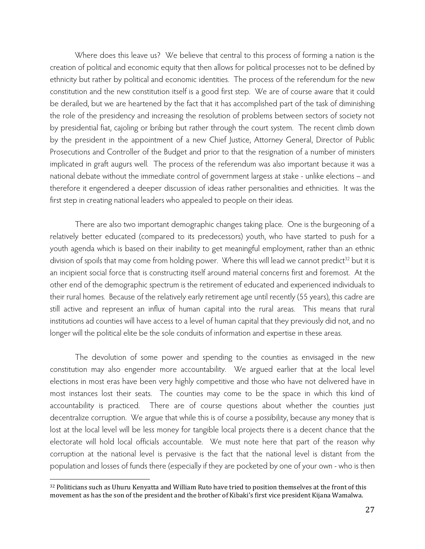Where does this leave us? We believe that central to this process of forming a nation is the creation of political and economic equity that then allows for political processes not to be defined by ethnicity but rather by political and economic identities. The process of the referendum for the new constitution and the new constitution itself is a good first step. We are of course aware that it could be derailed, but we are heartened by the fact that it has accomplished part of the task of diminishing the role of the presidency and increasing the resolution of problems between sectors of society not by presidential fiat, cajoling or bribing but rather through the court system. The recent climb down by the president in the appointment of a new Chief Justice, Attorney General, Director of Public Prosecutions and Controller of the Budget and prior to that the resignation of a number of ministers implicated in graft augurs well. The process of the referendum was also important because it was a national debate without the immediate control of government largess at stake - unlike elections – and therefore it engendered a deeper discussion of ideas rather personalities and ethnicities. It was the first step in creating national leaders who appealed to people on their ideas.

There are also two important demographic changes taking place. One is the burgeoning of a relatively better educated (compared to its predecessors) youth, who have started to push for a youth agenda which is based on their inability to get meaningful employment, rather than an ethnic division of spoils that may come from holding power. Where this will lead we cannot predict<sup>32</sup> but it is an incipient social force that is constructing itself around material concerns first and foremost. At the other end of the demographic spectrum is the retirement of educated and experienced individuals to their rural homes. Because of the relatively early retirement age until recently (55 years), this cadre are still active and represent an influx of human capital into the rural areas. This means that rural institutions ad counties will have access to a level of human capital that they previously did not, and no longer will the political elite be the sole conduits of information and expertise in these areas.

The devolution of some power and spending to the counties as envisaged in the new constitution may also engender more accountability. We argued earlier that at the local level elections in most eras have been very highly competitive and those who have not delivered have in most instances lost their seats. The counties may come to be the space in which this kind of accountability is practiced. There are of course questions about whether the counties just decentralize corruption. We argue that while this is of course a possibility, because any money that is lost at the local level will be less money for tangible local projects there is a decent chance that the electorate will hold local officials accountable. We must note here that part of the reason why corruption at the national level is pervasive is the fact that the national level is distant from the population and losses of funds there (especially if they are pocketed by one of your own - who is then

<sup>&</sup>lt;sup>32</sup> Politicians such as Uhuru Kenyatta and William Ruto have tried to position themselves at the front of this movement as has the son of the president and the brother of Kibaki's first vice president Kijana Wamalwa.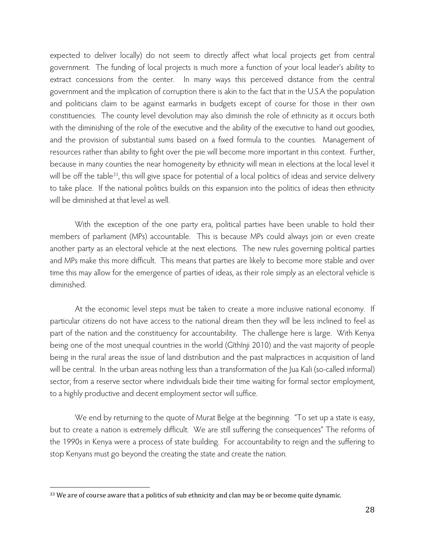expected to deliver locally) do not seem to directly affect what local projects get from central government. The funding of local projects is much more a function of your local leader's ability to extract concessions from the center. In many ways this perceived distance from the central government and the implication of corruption there is akin to the fact that in the U.S.A the population and politicians claim to be against earmarks in budgets except of course for those in their own constituencies. The county level devolution may also diminish the role of ethnicity as it occurs both with the diminishing of the role of the executive and the ability of the executive to hand out goodies, and the provision of substantial sums based on a fixed formula to the counties. Management of resources rather than ability to fight over the pie will become more important in this context. Further, because in many counties the near homogeneity by ethnicity will mean in elections at the local level it will be off the table<sup>33</sup>, this will give space for potential of a local politics of ideas and service delivery to take place. If the national politics builds on this expansion into the politics of ideas then ethnicity will be diminished at that level as well.

With the exception of the one party era, political parties have been unable to hold their members of parliament (MPs) accountable. This is because MPs could always join or even create another party as an electoral vehicle at the next elections. The new rules governing political parties and MPs make this more difficult. This means that parties are likely to become more stable and over time this may allow for the emergence of parties of ideas, as their role simply as an electoral vehicle is diminished.

At the economic level steps must be taken to create a more inclusive national economy. If particular citizens do not have access to the national dream then they will be less inclined to feel as part of the nation and the constituency for accountability. The challenge here is large. With Kenya being one of the most unequal countries in the world (Gĩthĩnji 2010) and the vast majority of people being in the rural areas the issue of land distribution and the past malpractices in acquisition of land will be central. In the urban areas nothing less than a transformation of the Jua Kali (so-called informal) sector, from a reserve sector where individuals bide their time waiting for formal sector employment, to a highly productive and decent employment sector will suffice.

We end by returning to the quote of Murat Belge at the beginning. "To set up a state is easy, but to create a nation is extremely difficult. We are still suffering the consequences" The reforms of the 1990s in Kenya were a process of state building. For accountability to reign and the suffering to stop Kenyans must go beyond the creating the state and create the nation.

<sup>&</sup>lt;sup>33</sup> We are of course aware that a politics of sub ethnicity and clan may be or become quite dynamic.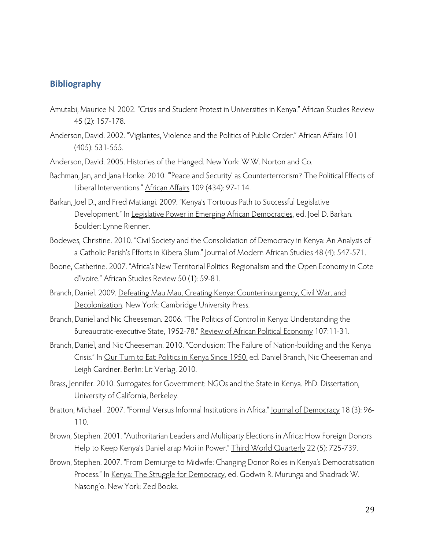#### **Bibliography**

- Amutabi, Maurice N. 2002. "Crisis and Student Protest in Universities in Kenya." African Studies Review 45 (2): 157-178.
- Anderson, David. 2002. "Vigilantes, Violence and the Politics of Public Order." African Affairs 101 (405): 531-555.
- Anderson, David. 2005. Histories of the Hanged. New York: W.W. Norton and Co.
- Bachman, Jan, and Jana Honke. 2010. "'Peace and Security' as Counterterrorism? The Political Effects of Liberal Interventions." African Affairs 109 (434): 97-114.
- Barkan, Joel D., and Fred Matiangi. 2009. "Kenya's Tortuous Path to Successful Legislative Development." In Legislative Power in Emerging African Democracies, ed. Joel D. Barkan. Boulder: Lynne Rienner.
- Bodewes, Christine. 2010. "Civil Society and the Consolidation of Democracy in Kenya: An Analysis of a Catholic Parish's Efforts in Kibera Slum." Journal of Modern African Studies 48 (4): 547-571.
- Boone, Catherine. 2007. "Africa's New Territorial Politics: Regionalism and the Open Economy in Cote d'Ivoire." African Studies Review 50 (1): 59-81.
- Branch, Daniel. 2009. Defeating Mau Mau, Creating Kenya: Counterinsurgency, Civil War, and Decolonization. New York: Cambridge University Press.
- Branch, Daniel and Nic Cheeseman. 2006. "The Politics of Control in Kenya: Understanding the Bureaucratic-executive State, 1952-78." Review of African Political Economy 107:11-31.
- Branch, Daniel, and Nic Cheeseman. 2010. "Conclusion: The Failure of Nation-building and the Kenya Crisis." In Our Turn to Eat: Politics in Kenya Since 1950, ed. Daniel Branch, Nic Cheeseman and Leigh Gardner. Berlin: Lit Verlag, 2010.
- Brass, Jennifer. 2010. Surrogates for Government: NGOs and the State in Kenya. PhD. Dissertation, University of California, Berkeley.
- Bratton, Michael . 2007. "Formal Versus Informal Institutions in Africa." Journal of Democracy 18 (3): 96-110.
- Brown, Stephen. 2001. "Authoritarian Leaders and Multiparty Elections in Africa: How Foreign Donors Help to Keep Kenya's Daniel arap Moi in Power." Third World Quarterly 22 (5): 725-739.
- Brown, Stephen. 2007. "From Demiurge to Midwife: Changing Donor Roles in Kenya's Democratisation Process." In Kenya: The Struggle for Democracy, ed. Godwin R. Murunga and Shadrack W. Nasong'o. New York: Zed Books.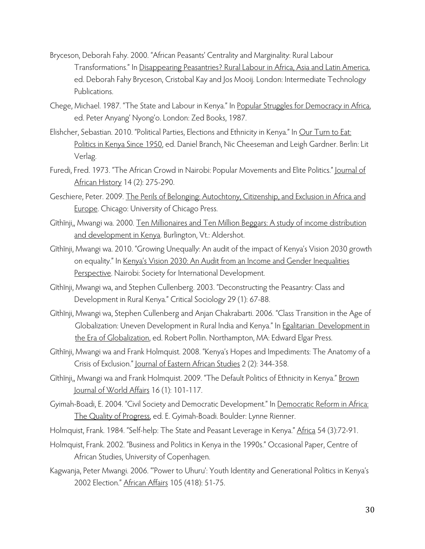- Bryceson, Deborah Fahy. 2000. "African Peasants' Centrality and Marginality: Rural Labour Transformations." In Disappearing Peasantries? Rural Labour in Africa, Asia and Latin America, ed. Deborah Fahy Bryceson, Cristobal Kay and Jos Mooij. London: Intermediate Technology Publications.
- Chege, Michael. 1987. "The State and Labour in Kenya." In Popular Struggles for Democracy in Africa, ed. Peter Anyang' Nyong'o. London: Zed Books, 1987.
- Elishcher, Sebastian. 2010. "Political Parties, Elections and Ethnicity in Kenya." In Our Turn to Eat: Politics in Kenya Since 1950, ed. Daniel Branch, Nic Cheeseman and Leigh Gardner. Berlin: Lit Verlag.
- Furedi, Fred. 1973. "The African Crowd in Nairobi: Popular Movements and Elite Politics." <u>Journal of</u> African History 14 (2): 275-290.
- Geschiere, Peter. 2009. The Perils of Belonging: Autochtony, Citizenship, and Exclusion in Africa and Europe. Chicago: University of Chicago Press.
- Gĩthĩnji,, Mwangi wa. 2000. Ten Millionaires and Ten Million Beggars: A study of income distribution and development in Kenya. Burlington, Vt.: Aldershot.
- Gĩthĩnji, Mwangi wa. 2010. "Growing Unequally: An audit of the impact of Kenya's Vision 2030 growth on equality." In Kenya's Vision 2030: An Audit from an Income and Gender Inequalities Perspective. Nairobi: Society for International Development.
- Gĩthĩnji, Mwangi wa, and Stephen Cullenberg. 2003. "Deconstructing the Peasantry: Class and Development in Rural Kenya." Critical Sociology 29 (1): 67-88.
- Gĩthĩnji, Mwangi wa, Stephen Cullenberg and Anjan Chakrabarti. 2006. "Class Transition in the Age of Globalization: Uneven Development in Rural India and Kenya." In Egalitarian Development in the Era of Globalization, ed. Robert Pollin. Northampton, MA: Edward Elgar Press.
- Gĩthĩnji, Mwangi wa and Frank Holmquist. 2008. "Kenya's Hopes and Impediments: The Anatomy of a Crisis of Exclusion." <u>Journal of Eastern African Studies</u> 2 (2): 344-358.
- Gĩthĩnji,, Mwangi wa and Frank Holmquist. 2009. "The Default Politics of Ethnicity in Kenya." Brown Journal of World Affairs 16 (1): 101-117.
- Gyimah-Boadi, E. 2004. "Civil Society and Democratic Development." In Democratic Reform in Africa: The Quality of Progress, ed. E. Gyimah-Boadi. Boulder: Lynne Rienner.

Holmquist, Frank. 1984. "Self-help: The State and Peasant Leverage in Kenya." Africa 54 (3):72-91.

- Holmquist, Frank. 2002. "Business and Politics in Kenya in the 1990s." Occasional Paper, Centre of African Studies, University of Copenhagen.
- Kagwanja, Peter Mwangi. 2006. "'Power to Uhuru': Youth Identity and Generational Politics in Kenya's 2002 Election." African Affairs 105 (418): 51-75.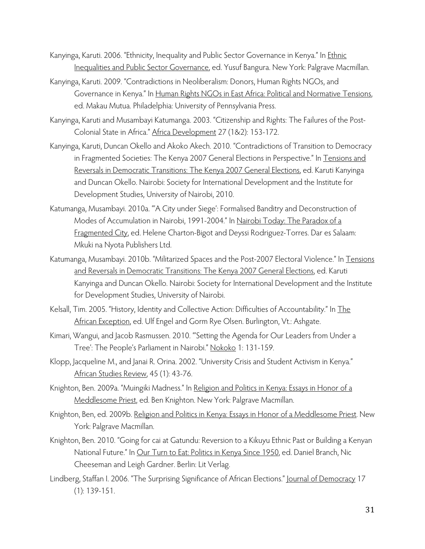- Kanyinga, Karuti. 2006. "Ethnicity, Inequality and Public Sector Governance in Kenya." In *Ethnic* Inequalities and Public Sector Governance, ed. Yusuf Bangura. New York: Palgrave Macmillan.
- Kanyinga, Karuti. 2009. "Contradictions in Neoliberalism: Donors, Human Rights NGOs, and Governance in Kenya." In Human Rights NGOs in East Africa: Political and Normative Tensions, ed. Makau Mutua. Philadelphia: University of Pennsylvania Press.
- Kanyinga, Karuti and Musambayi Katumanga. 2003. "Citizenship and Rights: The Failures of the Post-Colonial State in Africa." Africa Development 27 (1&2): 153-172.
- Kanyinga, Karuti, Duncan Okello and Akoko Akech. 2010. "Contradictions of Transition to Democracy in Fragmented Societies: The Kenya 2007 General Elections in Perspective." In Tensions and Reversals in Democratic Transitions: The Kenya 2007 General Elections, ed. Karuti Kanyinga and Duncan Okello. Nairobi: Society for International Development and the Institute for Development Studies, University of Nairobi, 2010.
- Katumanga, Musambayi. 2010a. "'A City under Siege': Formalised Banditry and Deconstruction of Modes of Accumulation in Nairobi, 1991-2004." In Nairobi Today: The Paradox of a Fragmented City, ed. Helene Charton-Bigot and Deyssi Rodriguez-Torres. Dar es Salaam: Mkuki na Nyota Publishers Ltd.
- Katumanga, Musambayi. 2010b. "Militarized Spaces and the Post-2007 Electoral Violence." In Tensions and Reversals in Democratic Transitions: The Kenya 2007 General Elections, ed. Karuti Kanyinga and Duncan Okello. Nairobi: Society for International Development and the Institute for Development Studies, University of Nairobi.
- Kelsall, Tim. 2005. "History, Identity and Collective Action: Difficulties of Accountability." In The African Exception, ed. Ulf Engel and Gorm Rye Olsen. Burlington, Vt.: Ashgate.
- Kimari, Wangui, and Jacob Rasmussen. 2010. "'Setting the Agenda for Our Leaders from Under a Tree': The People's Parliament in Nairobi." Nokoko 1: 131-159.
- Klopp, Jacqueline M., and Janai R. Orina. 2002. "University Crisis and Student Activism in Kenya." African Studies Review, 45 (1): 43-76.
- Knighton, Ben. 2009a. "Muingiki Madness." In Religion and Politics in Kenya: Essays in Honor of a Meddlesome Priest, ed. Ben Knighton. New York: Palgrave Macmillan.
- Knighton, Ben, ed. 2009b. Religion and Politics in Kenya: Essays in Honor of a Meddlesome Priest. New York: Palgrave Macmillan.
- Knighton, Ben. 2010. "Going for cai at Gatundu: Reversion to a Kikuyu Ethnic Past or Building a Kenyan National Future." In Our Turn to Eat: Politics in Kenya Since 1950, ed. Daniel Branch, Nic Cheeseman and Leigh Gardner. Berlin: Lit Verlag.
- Lindberg, Staffan I. 2006. "The Surprising Significance of African Elections." Journal of Democracy 17 (1): 139-151.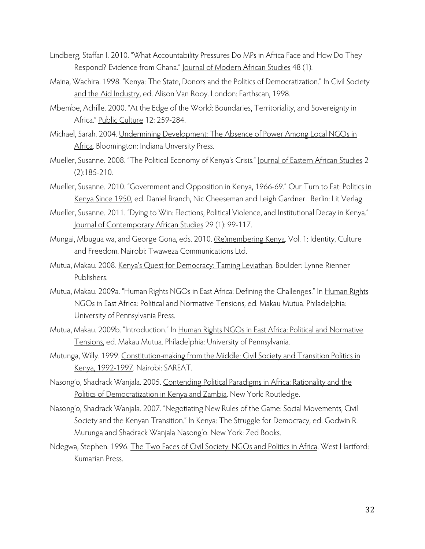- Lindberg, Staffan I. 2010. "What Accountability Pressures Do MPs in Africa Face and How Do They Respond? Evidence from Ghana." <u>Journal of Modern African Studies</u> 48 (1).
- Maina, Wachira. 1998. "Kenya: The State, Donors and the Politics of Democratization." In Civil Society and the Aid Industry, ed. Alison Van Rooy. London: Earthscan, 1998.
- Mbembe, Achille. 2000. "At the Edge of the World: Boundaries, Territoriality, and Sovereignty in Africa." Public Culture 12: 259-284.
- Michael, Sarah. 2004. Undermining Development: The Absence of Power Among Local NGOs in Africa. Bloomington: Indiana Unversity Press.
- Mueller, Susanne. 2008. "The Political Economy of Kenya's Crisis." Journal of Eastern African Studies 2 (2):185-210.
- Mueller, Susanne. 2010. "Government and Opposition in Kenya, 1966-69." Our Turn to Eat: Politics in Kenya Since 1950, ed. Daniel Branch, Nic Cheeseman and Leigh Gardner. Berlin: Lit Verlag.
- Mueller, Susanne. 2011. "Dying to Win: Elections, Political Violence, and Institutional Decay in Kenya." Journal of Contemporary African Studies 29 (1): 99-117.
- Mungai, Mbugua wa, and George Gona, eds. 2010. (Re)membering Kenya. Vol. 1: Identity, Culture and Freedom. Nairobi: Twaweza Communications Ltd.
- Mutua, Makau. 2008. Kenya's Quest for Democracy: Taming Leviathan. Boulder: Lynne Rienner Publishers.
- Mutua, Makau. 2009a. "Human Rights NGOs in East Africa: Defining the Challenges." In Human Rights NGOs in East Africa: Political and Normative Tensions, ed. Makau Mutua. Philadelphia: University of Pennsylvania Press.
- Mutua, Makau. 2009b. "Introduction." In Human Rights NGOs in East Africa: Political and Normative Tensions, ed. Makau Mutua. Philadelphia: University of Pennsylvania.
- Mutunga, Willy. 1999. Constitution-making from the Middle: Civil Society and Transition Politics in Kenya, 1992-1997. Nairobi: SAREAT.
- Nasong'o, Shadrack Wanjala. 2005. Contending Political Paradigms in Africa: Rationality and the Politics of Democratization in Kenya and Zambia. New York: Routledge.
- Nasong'o, Shadrack Wanjala. 2007. "Negotiating New Rules of the Game: Social Movements, Civil Society and the Kenyan Transition." In Kenya: The Struggle for Democracy, ed. Godwin R. Murunga and Shadrack Wanjala Nasong'o. New York: Zed Books.
- Ndegwa, Stephen. 1996. The Two Faces of Civil Society: NGOs and Politics in Africa. West Hartford: Kumarian Press.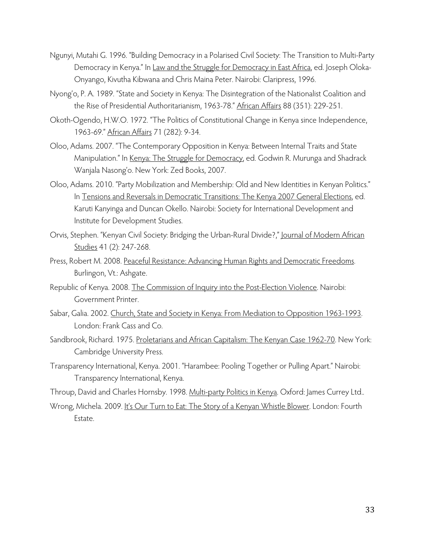- Ngunyi, Mutahi G. 1996. "Building Democracy in a Polarised Civil Society: The Transition to Multi-Party Democracy in Kenya." In Law and the Struggle for Democracy in East Africa, ed. Joseph Oloka-Onyango, Kivutha Kibwana and Chris Maina Peter. Nairobi: Claripress, 1996.
- Nyong'o, P. A. 1989. "State and Society in Kenya: The Disintegration of the Nationalist Coalition and the Rise of Presidential Authoritarianism, 1963-78." African Affairs 88 (351): 229-251.
- Okoth-Ogendo, H.W.O. 1972. "The Politics of Constitutional Change in Kenya since Independence, 1963-69." African Affairs 71 (282): 9-34.
- Oloo, Adams. 2007. "The Contemporary Opposition in Kenya: Between Internal Traits and State Manipulation." In Kenya: The Struggle for Democracy, ed. Godwin R. Murunga and Shadrack Wanjala Nasong'o. New York: Zed Books, 2007.
- Oloo, Adams. 2010. "Party Mobilization and Membership: Old and New Identities in Kenyan Politics." In Tensions and Reversals in Democratic Transitions: The Kenya 2007 General Elections, ed. Karuti Kanyinga and Duncan Okello. Nairobi: Society for International Development and Institute for Development Studies.
- Orvis, Stephen. "Kenyan Civil Society: Bridging the Urban-Rural Divide?," <u>Journal of Modern African</u> Studies 41 (2): 247-268.
- Press, Robert M. 2008. Peaceful Resistance: Advancing Human Rights and Democratic Freedoms. Burlingon, Vt.: Ashgate.
- Republic of Kenya. 2008. The Commission of Inquiry into the Post-Election Violence. Nairobi: Government Printer.
- Sabar, Galia. 2002. Church, State and Society in Kenya: From Mediation to Opposition 1963-1993. London: Frank Cass and Co.
- Sandbrook, Richard. 1975. Proletarians and African Capitalism: The Kenyan Case 1962-70. New York: Cambridge University Press.
- Transparency International, Kenya. 2001. "Harambee: Pooling Together or Pulling Apart." Nairobi: Transparency International, Kenya.
- Throup, David and Charles Hornsby. 1998. Multi-party Politics in Kenya. Oxford: James Currey Ltd..
- Wrong, Michela. 2009. It's Our Turn to Eat: The Story of a Kenyan Whistle Blower. London: Fourth Estate.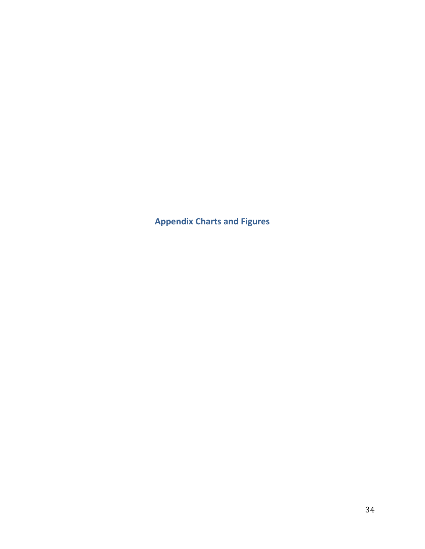**Appendix Charts and Figures**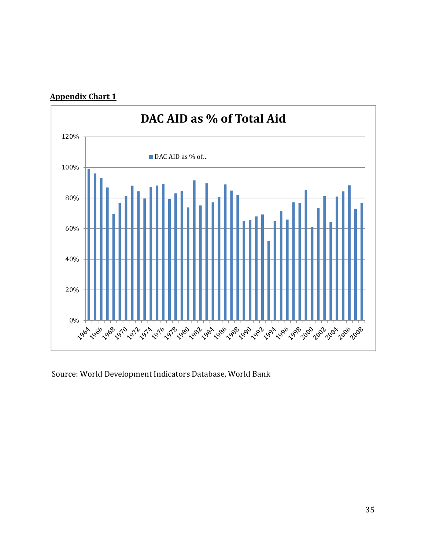#### **Appendix Chart 1**



Source: World Development Indicators Database, World Bank